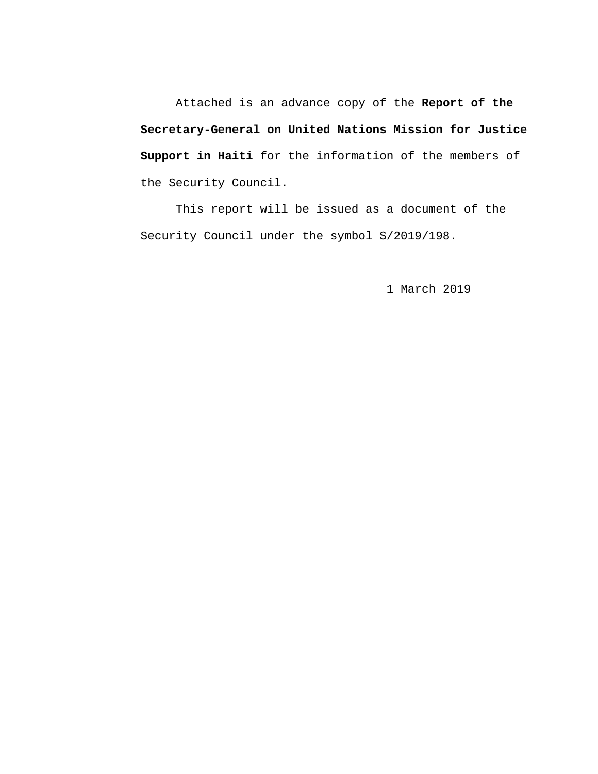Attached is an advance copy of the **Report of the Secretary-General on United Nations Mission for Justice Support in Haiti** for the information of the members of the Security Council.

This report will be issued as a document of the Security Council under the symbol S/2019/198.

1 March 2019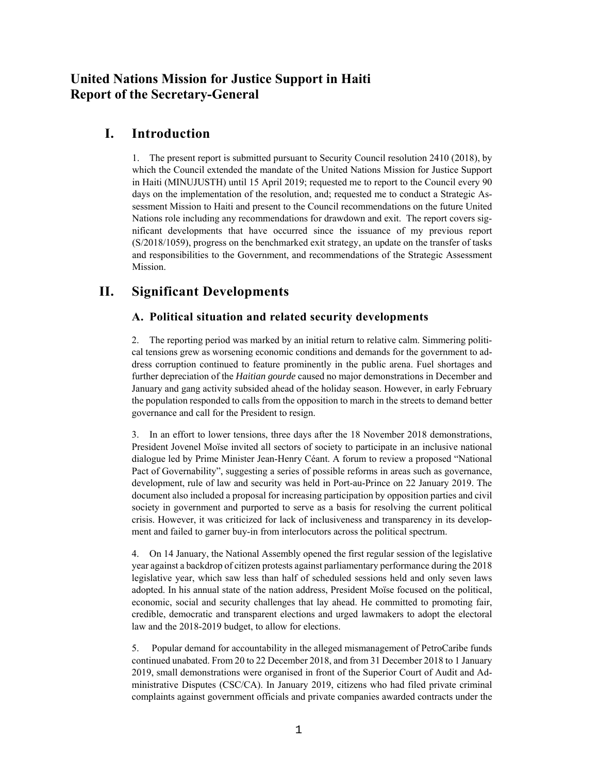# **United Nations Mission for Justice Support in Haiti Report of the Secretary-General**

# **I. Introduction**

1. The present report is submitted pursuant to Security Council resolution 2410 (2018), by which the Council extended the mandate of the United Nations Mission for Justice Support in Haiti (MINUJUSTH) until 15 April 2019; requested me to report to the Council every 90 days on the implementation of the resolution, and; requested me to conduct a Strategic Assessment Mission to Haiti and present to the Council recommendations on the future United Nations role including any recommendations for drawdown and exit. The report covers significant developments that have occurred since the issuance of my previous report (S/2018/1059), progress on the benchmarked exit strategy, an update on the transfer of tasks and responsibilities to the Government, and recommendations of the Strategic Assessment Mission.

# **II. Significant Developments**

### **A. Political situation and related security developments**

2. The reporting period was marked by an initial return to relative calm. Simmering political tensions grew as worsening economic conditions and demands for the government to address corruption continued to feature prominently in the public arena. Fuel shortages and further depreciation of the *Haitian gourde* caused no major demonstrations in December and January and gang activity subsided ahead of the holiday season. However, in early February the population responded to calls from the opposition to march in the streets to demand better governance and call for the President to resign.

3. In an effort to lower tensions, three days after the 18 November 2018 demonstrations, President Jovenel Moïse invited all sectors of society to participate in an inclusive national dialogue led by Prime Minister Jean-Henry Céant. A forum to review a proposed "National Pact of Governability", suggesting a series of possible reforms in areas such as governance, development, rule of law and security was held in Port-au-Prince on 22 January 2019. The document also included a proposal for increasing participation by opposition parties and civil society in government and purported to serve as a basis for resolving the current political crisis. However, it was criticized for lack of inclusiveness and transparency in its development and failed to garner buy-in from interlocutors across the political spectrum.

4. On 14 January, the National Assembly opened the first regular session of the legislative year against a backdrop of citizen protests against parliamentary performance during the 2018 legislative year, which saw less than half of scheduled sessions held and only seven laws adopted. In his annual state of the nation address, President Moïse focused on the political, economic, social and security challenges that lay ahead. He committed to promoting fair, credible, democratic and transparent elections and urged lawmakers to adopt the electoral law and the 2018-2019 budget, to allow for elections.

5. Popular demand for accountability in the alleged mismanagement of PetroCaribe funds continued unabated. From 20 to 22 December 2018, and from 31 December 2018 to 1 January 2019, small demonstrations were organised in front of the Superior Court of Audit and Administrative Disputes (CSC/CA). In January 2019, citizens who had filed private criminal complaints against government officials and private companies awarded contracts under the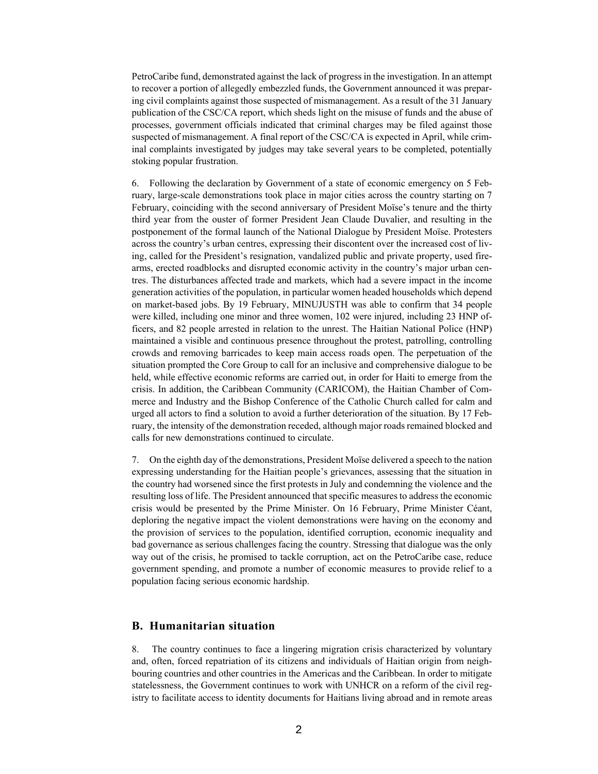PetroCaribe fund, demonstrated against the lack of progress in the investigation. In an attempt to recover a portion of allegedly embezzled funds, the Government announced it was preparing civil complaints against those suspected of mismanagement. As a result of the 31 January publication of the CSC/CA report, which sheds light on the misuse of funds and the abuse of processes, government officials indicated that criminal charges may be filed against those suspected of mismanagement. A final report of the CSC/CA is expected in April, while criminal complaints investigated by judges may take several years to be completed, potentially stoking popular frustration.

6. Following the declaration by Government of a state of economic emergency on 5 February, large-scale demonstrations took place in major cities across the country starting on 7 February, coinciding with the second anniversary of President Moïse's tenure and the thirty third year from the ouster of former President Jean Claude Duvalier, and resulting in the postponement of the formal launch of the National Dialogue by President Moïse. Protesters across the country's urban centres, expressing their discontent over the increased cost of living, called for the President's resignation, vandalized public and private property, used firearms, erected roadblocks and disrupted economic activity in the country's major urban centres. The disturbances affected trade and markets, which had a severe impact in the income generation activities of the population, in particular women headed households which depend on market-based jobs. By 19 February, MINUJUSTH was able to confirm that 34 people were killed, including one minor and three women, 102 were injured, including 23 HNP officers, and 82 people arrested in relation to the unrest. The Haitian National Police (HNP) maintained a visible and continuous presence throughout the protest, patrolling, controlling crowds and removing barricades to keep main access roads open. The perpetuation of the situation prompted the Core Group to call for an inclusive and comprehensive dialogue to be held, while effective economic reforms are carried out, in order for Haiti to emerge from the crisis. In addition, the Caribbean Community (CARICOM), the Haitian Chamber of Commerce and Industry and the Bishop Conference of the Catholic Church called for calm and urged all actors to find a solution to avoid a further deterioration of the situation. By 17 February, the intensity of the demonstration receded, although major roads remained blocked and calls for new demonstrations continued to circulate.

7. On the eighth day of the demonstrations, President Moïse delivered a speech to the nation expressing understanding for the Haitian people's grievances, assessing that the situation in the country had worsened since the first protests in July and condemning the violence and the resulting loss of life. The President announced that specific measures to address the economic crisis would be presented by the Prime Minister. On 16 February, Prime Minister Céant, deploring the negative impact the violent demonstrations were having on the economy and the provision of services to the population, identified corruption, economic inequality and bad governance as serious challenges facing the country. Stressing that dialogue was the only way out of the crisis, he promised to tackle corruption, act on the PetroCaribe case, reduce government spending, and promote a number of economic measures to provide relief to a population facing serious economic hardship.

#### **B. Humanitarian situation**

8. The country continues to face a lingering migration crisis characterized by voluntary and, often, forced repatriation of its citizens and individuals of Haitian origin from neighbouring countries and other countries in the Americas and the Caribbean. In order to mitigate statelessness, the Government continues to work with UNHCR on a reform of the civil registry to facilitate access to identity documents for Haitians living abroad and in remote areas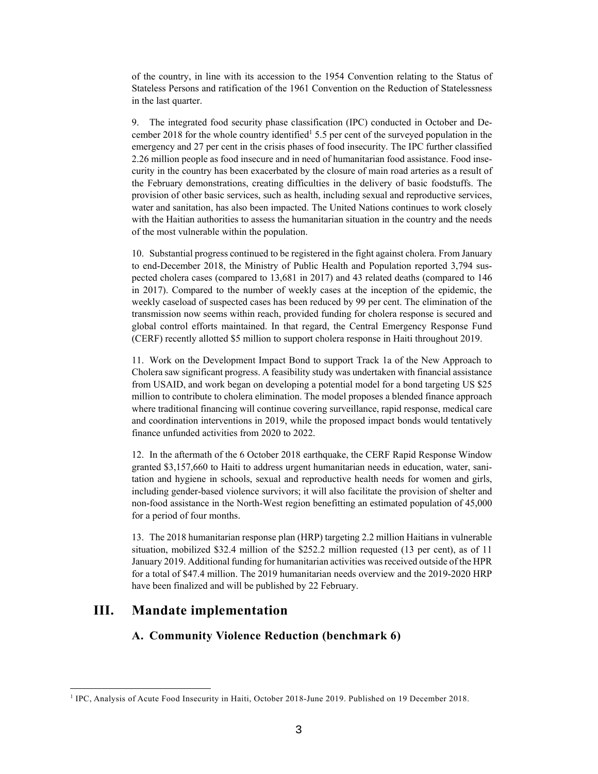of the country, in line with its accession to the 1954 Convention relating to the Status of Stateless Persons and ratification of the 1961 Convention on the Reduction of Statelessness in the last quarter.

9. The integrated food security phase classification (IPC) conducted in October and December 2018 for the whole country identified<sup>1</sup> 5.5 per cent of the surveyed population in the emergency and 27 per cent in the crisis phases of food insecurity. The IPC further classified 2.26 million people as food insecure and in need of humanitarian food assistance. Food insecurity in the country has been exacerbated by the closure of main road arteries as a result of the February demonstrations, creating difficulties in the delivery of basic foodstuffs. The provision of other basic services, such as health, including sexual and reproductive services, water and sanitation, has also been impacted. The United Nations continues to work closely with the Haitian authorities to assess the humanitarian situation in the country and the needs of the most vulnerable within the population.

10. Substantial progress continued to be registered in the fight against cholera. From January to end-December 2018, the Ministry of Public Health and Population reported 3,794 suspected cholera cases (compared to 13,681 in 2017) and 43 related deaths (compared to 146 in 2017). Compared to the number of weekly cases at the inception of the epidemic, the weekly caseload of suspected cases has been reduced by 99 per cent. The elimination of the transmission now seems within reach, provided funding for cholera response is secured and global control efforts maintained. In that regard, the Central Emergency Response Fund (CERF) recently allotted \$5 million to support cholera response in Haiti throughout 2019.

11. Work on the Development Impact Bond to support Track 1a of the New Approach to Cholera saw significant progress. A feasibility study was undertaken with financial assistance from USAID, and work began on developing a potential model for a bond targeting US \$25 million to contribute to cholera elimination. The model proposes a blended finance approach where traditional financing will continue covering surveillance, rapid response, medical care and coordination interventions in 2019, while the proposed impact bonds would tentatively finance unfunded activities from 2020 to 2022.

12. In the aftermath of the 6 October 2018 earthquake, the CERF Rapid Response Window granted \$3,157,660 to Haiti to address urgent humanitarian needs in education, water, sanitation and hygiene in schools, sexual and reproductive health needs for women and girls, including gender-based violence survivors; it will also facilitate the provision of shelter and non-food assistance in the North-West region benefitting an estimated population of 45,000 for a period of four months.

13. The 2018 humanitarian response plan (HRP) targeting 2.2 million Haitians in vulnerable situation, mobilized \$32.4 million of the \$252.2 million requested (13 per cent), as of 11 January 2019. Additional funding for humanitarian activities was received outside of the HPR for a total of \$47.4 million. The 2019 humanitarian needs overview and the 2019-2020 HRP have been finalized and will be published by 22 February.

### **III. Mandate implementation**

 $\overline{\phantom{a}}$ 

### **A. Community Violence Reduction (benchmark 6)**

<sup>&</sup>lt;sup>1</sup> IPC, Analysis of Acute Food Insecurity in Haiti, October 2018-June 2019. Published on 19 December 2018.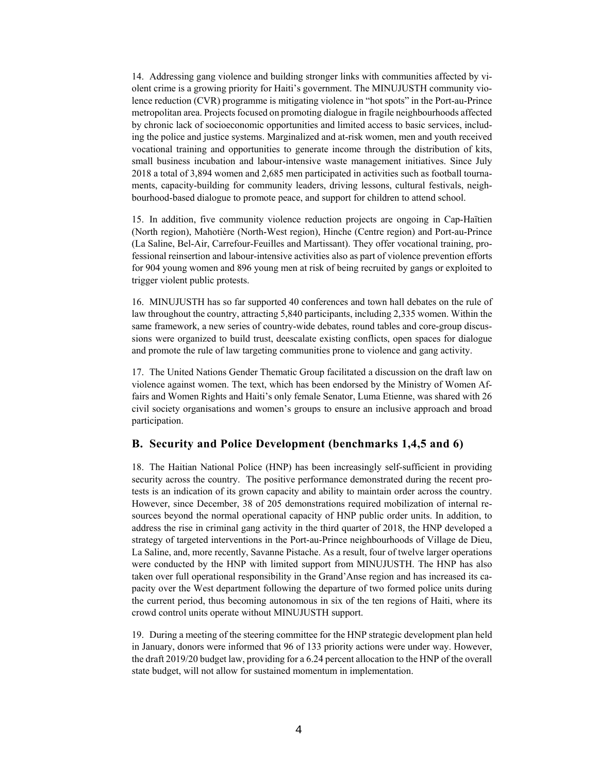14. Addressing gang violence and building stronger links with communities affected by violent crime is a growing priority for Haiti's government. The MINUJUSTH community violence reduction (CVR) programme is mitigating violence in "hot spots" in the Port-au-Prince metropolitan area. Projects focused on promoting dialogue in fragile neighbourhoods affected by chronic lack of socioeconomic opportunities and limited access to basic services, including the police and justice systems. Marginalized and at-risk women, men and youth received vocational training and opportunities to generate income through the distribution of kits, small business incubation and labour-intensive waste management initiatives. Since July 2018 a total of 3,894 women and 2,685 men participated in activities such as football tournaments, capacity-building for community leaders, driving lessons, cultural festivals, neighbourhood-based dialogue to promote peace, and support for children to attend school.

15. In addition, five community violence reduction projects are ongoing in Cap-Haïtien (North region), Mahotière (North-West region), Hinche (Centre region) and Port-au-Prince (La Saline, Bel-Air, Carrefour-Feuilles and Martissant). They offer vocational training, professional reinsertion and labour-intensive activities also as part of violence prevention efforts for 904 young women and 896 young men at risk of being recruited by gangs or exploited to trigger violent public protests.

16. MINUJUSTH has so far supported 40 conferences and town hall debates on the rule of law throughout the country, attracting 5,840 participants, including 2,335 women. Within the same framework, a new series of country-wide debates, round tables and core-group discussions were organized to build trust, deescalate existing conflicts, open spaces for dialogue and promote the rule of law targeting communities prone to violence and gang activity.

17. The United Nations Gender Thematic Group facilitated a discussion on the draft law on violence against women. The text, which has been endorsed by the Ministry of Women Affairs and Women Rights and Haiti's only female Senator, Luma Etienne, was shared with 26 civil society organisations and women's groups to ensure an inclusive approach and broad participation.

#### **B. Security and Police Development (benchmarks 1,4,5 and 6)**

18. The Haitian National Police (HNP) has been increasingly self-sufficient in providing security across the country. The positive performance demonstrated during the recent protests is an indication of its grown capacity and ability to maintain order across the country. However, since December, 38 of 205 demonstrations required mobilization of internal resources beyond the normal operational capacity of HNP public order units. In addition, to address the rise in criminal gang activity in the third quarter of 2018, the HNP developed a strategy of targeted interventions in the Port-au-Prince neighbourhoods of Village de Dieu, La Saline, and, more recently, Savanne Pistache. As a result, four of twelve larger operations were conducted by the HNP with limited support from MINUJUSTH. The HNP has also taken over full operational responsibility in the Grand'Anse region and has increased its capacity over the West department following the departure of two formed police units during the current period, thus becoming autonomous in six of the ten regions of Haiti, where its crowd control units operate without MINUJUSTH support.

19. During a meeting of the steering committee for the HNP strategic development plan held in January, donors were informed that 96 of 133 priority actions were under way. However, the draft 2019/20 budget law, providing for a 6.24 percent allocation to the HNP of the overall state budget, will not allow for sustained momentum in implementation.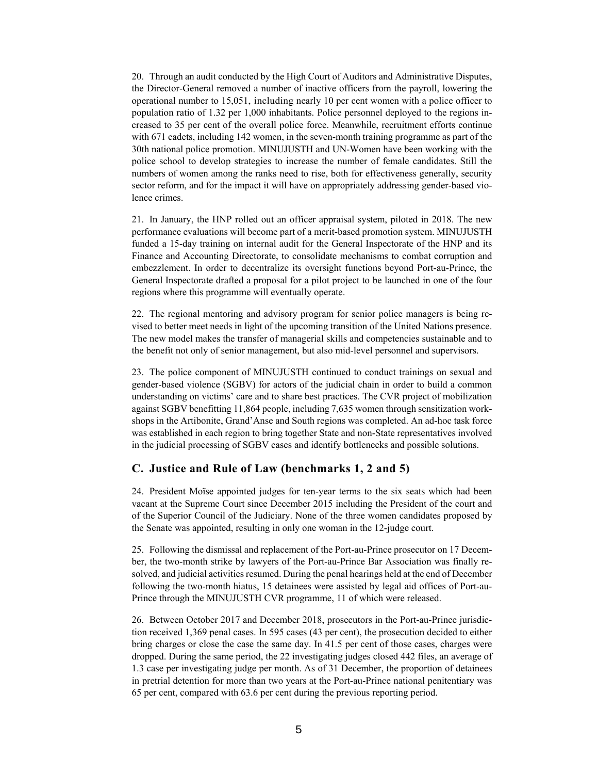20. Through an audit conducted by the High Court of Auditors and Administrative Disputes, the Director-General removed a number of inactive officers from the payroll, lowering the operational number to 15,051, including nearly 10 per cent women with a police officer to population ratio of 1.32 per 1,000 inhabitants. Police personnel deployed to the regions increased to 35 per cent of the overall police force. Meanwhile, recruitment efforts continue with 671 cadets, including 142 women, in the seven-month training programme as part of the 30th national police promotion. MINUJUSTH and UN-Women have been working with the police school to develop strategies to increase the number of female candidates. Still the numbers of women among the ranks need to rise, both for effectiveness generally, security sector reform, and for the impact it will have on appropriately addressing gender-based violence crimes.

21. In January, the HNP rolled out an officer appraisal system, piloted in 2018. The new performance evaluations will become part of a merit-based promotion system. MINUJUSTH funded a 15-day training on internal audit for the General Inspectorate of the HNP and its Finance and Accounting Directorate, to consolidate mechanisms to combat corruption and embezzlement. In order to decentralize its oversight functions beyond Port-au-Prince, the General Inspectorate drafted a proposal for a pilot project to be launched in one of the four regions where this programme will eventually operate.

22. The regional mentoring and advisory program for senior police managers is being revised to better meet needs in light of the upcoming transition of the United Nations presence. The new model makes the transfer of managerial skills and competencies sustainable and to the benefit not only of senior management, but also mid-level personnel and supervisors.

23. The police component of MINUJUSTH continued to conduct trainings on sexual and gender-based violence (SGBV) for actors of the judicial chain in order to build a common understanding on victims' care and to share best practices. The CVR project of mobilization against SGBV benefitting 11,864 people, including 7,635 women through sensitization workshops in the Artibonite, Grand'Anse and South regions was completed. An ad-hoc task force was established in each region to bring together State and non-State representatives involved in the judicial processing of SGBV cases and identify bottlenecks and possible solutions.

#### **C. Justice and Rule of Law (benchmarks 1, 2 and 5)**

24. President Moïse appointed judges for ten-year terms to the six seats which had been vacant at the Supreme Court since December 2015 including the President of the court and of the Superior Council of the Judiciary. None of the three women candidates proposed by the Senate was appointed, resulting in only one woman in the 12-judge court.

25. Following the dismissal and replacement of the Port-au-Prince prosecutor on 17 December, the two-month strike by lawyers of the Port-au-Prince Bar Association was finally resolved, and judicial activities resumed. During the penal hearings held at the end of December following the two-month hiatus, 15 detainees were assisted by legal aid offices of Port-au-Prince through the MINUJUSTH CVR programme, 11 of which were released.

26. Between October 2017 and December 2018, prosecutors in the Port-au-Prince jurisdiction received 1,369 penal cases. In 595 cases (43 per cent), the prosecution decided to either bring charges or close the case the same day. In 41.5 per cent of those cases, charges were dropped. During the same period, the 22 investigating judges closed 442 files, an average of 1.3 case per investigating judge per month. As of 31 December, the proportion of detainees in pretrial detention for more than two years at the Port-au-Prince national penitentiary was 65 per cent, compared with 63.6 per cent during the previous reporting period.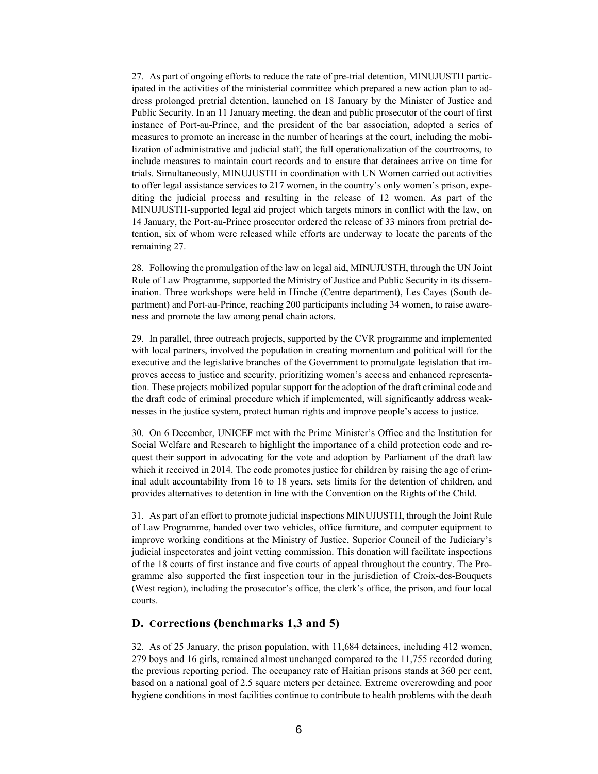27. As part of ongoing efforts to reduce the rate of pre-trial detention, MINUJUSTH participated in the activities of the ministerial committee which prepared a new action plan to address prolonged pretrial detention, launched on 18 January by the Minister of Justice and Public Security. In an 11 January meeting, the dean and public prosecutor of the court of first instance of Port-au-Prince, and the president of the bar association, adopted a series of measures to promote an increase in the number of hearings at the court, including the mobilization of administrative and judicial staff, the full operationalization of the courtrooms, to include measures to maintain court records and to ensure that detainees arrive on time for trials. Simultaneously, MINUJUSTH in coordination with UN Women carried out activities to offer legal assistance services to 217 women, in the country's only women's prison, expediting the judicial process and resulting in the release of 12 women. As part of the MINUJUSTH-supported legal aid project which targets minors in conflict with the law, on 14 January, the Port-au-Prince prosecutor ordered the release of 33 minors from pretrial detention, six of whom were released while efforts are underway to locate the parents of the remaining 27.

28. Following the promulgation of the law on legal aid, MINUJUSTH, through the UN Joint Rule of Law Programme, supported the Ministry of Justice and Public Security in its dissemination. Three workshops were held in Hinche (Centre department), Les Cayes (South department) and Port-au-Prince, reaching 200 participants including 34 women, to raise awareness and promote the law among penal chain actors.

29. In parallel, three outreach projects, supported by the CVR programme and implemented with local partners, involved the population in creating momentum and political will for the executive and the legislative branches of the Government to promulgate legislation that improves access to justice and security, prioritizing women's access and enhanced representation. These projects mobilized popular support for the adoption of the draft criminal code and the draft code of criminal procedure which if implemented, will significantly address weaknesses in the justice system, protect human rights and improve people's access to justice.

30. On 6 December, UNICEF met with the Prime Minister's Office and the Institution for Social Welfare and Research to highlight the importance of a child protection code and request their support in advocating for the vote and adoption by Parliament of the draft law which it received in 2014. The code promotes justice for children by raising the age of criminal adult accountability from 16 to 18 years, sets limits for the detention of children, and provides alternatives to detention in line with the Convention on the Rights of the Child.

31. As part of an effort to promote judicial inspections MINUJUSTH, through the Joint Rule of Law Programme, handed over two vehicles, office furniture, and computer equipment to improve working conditions at the Ministry of Justice, Superior Council of the Judiciary's judicial inspectorates and joint vetting commission. This donation will facilitate inspections of the 18 courts of first instance and five courts of appeal throughout the country. The Programme also supported the first inspection tour in the jurisdiction of Croix-des-Bouquets (West region), including the prosecutor's office, the clerk's office, the prison, and four local courts.

#### **D. Corrections (benchmarks 1,3 and 5)**

32. As of 25 January, the prison population, with 11,684 detainees, including 412 women, 279 boys and 16 girls, remained almost unchanged compared to the 11,755 recorded during the previous reporting period. The occupancy rate of Haitian prisons stands at 360 per cent, based on a national goal of 2.5 square meters per detainee. Extreme overcrowding and poor hygiene conditions in most facilities continue to contribute to health problems with the death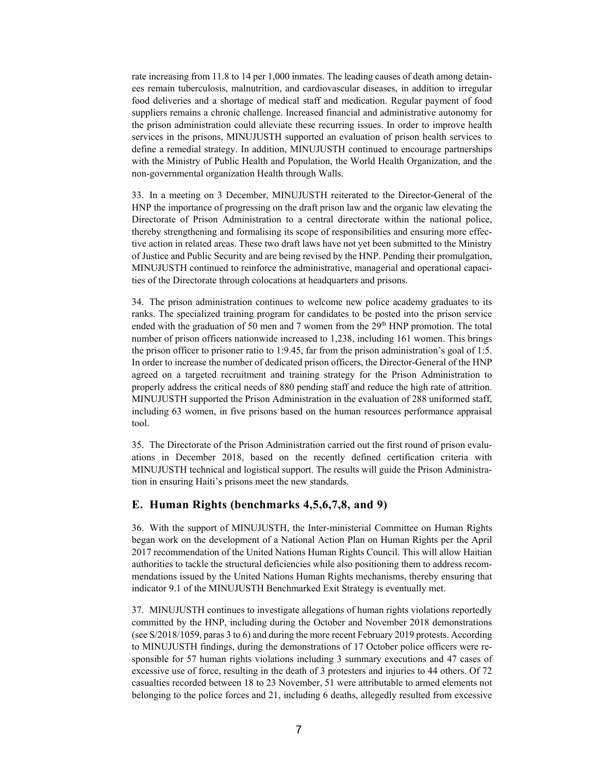rate increasing from 11.8 to 14 per 1,000 inmates. The leading causes of death among detainees remain tuberculosis, malnutrition, and cardiovascular diseases, in addition to irregular food deliveries and a shortage of medical staff and medication. Regular payment of food suppliers remains a chronic challenge. Increased financial and administrative autonomy for the prison administration could alleviate these recurring issues. In order to improve health services in the prisons, MINUJUSTH supported an evaluation of prison health services to define a remedial strategy. In addition, MINUJUSTH continued to encourage partnerships with the Ministry of Public Health and Population, the World Health Organization, and the non-governmental organization Health through Walls.

33. In a meeting on 3 December, MINUJUSTH reiterated to the Director-General of the HNP the importance of progressing on the draft prison law and the organic law elevating the Directorate of Prison Administration to a central directorate within the national police, thereby strengthening and formalising its scope of responsibilities and ensuring more effective action in related areas. These two draft laws have not yet been submitted to the Ministry of Justice and Public Security and are being revised by the HNP. Pending their promulgation, MINUJUSTH continued to reinforce the administrative, managerial and operational capacities of the Directorate through colocations at headquarters and prisons.

34. The prison administration continues to welcome new police academy graduates to its ranks. The specialized training program for candidates to be posted into the prison service ended with the graduation of 50 men and 7 women from the  $29<sup>th</sup> HNP$  promotion. The total number of prison officers nationwide increased to 1,238, including 161 women. This brings the prison officer to prisoner ratio to 1:9.45, far from the prison administration's goal of 1:5. In order to increase the number of dedicated prison officers, the Director-General of the HNP agreed on a targeted recruitment and training strategy for the Prison Administration to properly address the critical needs of 880 pending staff and reduce the high rate of attrition. MINUJUSTH supported the Prison Administration in the evaluation of 288 uniformed staff, including 63 women, in five prisons based on the human resources performance appraisal tool.

35. The Directorate of the Prison Administration carried out the first round of prison evaluations in December 2018, based on the recently defined certification criteria with MINUJUSTH technical and logistical support. The results will guide the Prison Administration in ensuring Haiti's prisons meet the new standards.

#### **E. Human Rights (benchmarks 4,5,6,7,8, and 9)**

36. With the support of MINUJUSTH, the Inter-ministerial Committee on Human Rights began work on the development of a National Action Plan on Human Rights per the April 2017 recommendation of the United Nations Human Rights Council. This will allow Haitian authorities to tackle the structural deficiencies while also positioning them to address recommendations issued by the United Nations Human Rights mechanisms, thereby ensuring that indicator 9.1 of the MINUJUSTH Benchmarked Exit Strategy is eventually met.

37. MINUJUSTH continues to investigate allegations of human rights violations reportedly committed by the HNP, including during the October and November 2018 demonstrations (see S/2018/1059, paras 3 to 6) and during the more recent February 2019 protests. According to MINUJUSTH findings, during the demonstrations of 17 October police officers were responsible for 57 human rights violations including 3 summary executions and 47 cases of excessive use of force, resulting in the death of 3 protesters and injuries to 44 others. Of 72 casualties recorded between 18 to 23 November, 51 were attributable to armed elements not belonging to the police forces and 21, including 6 deaths, allegedly resulted from excessive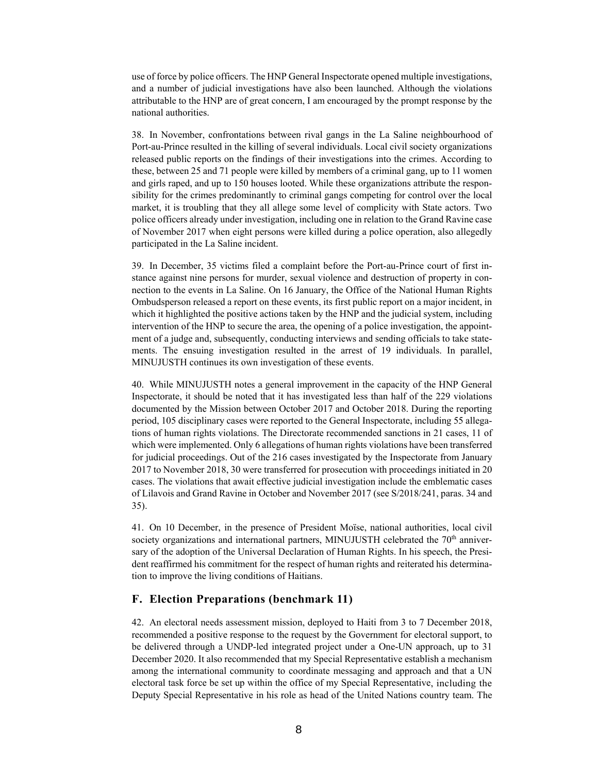use of force by police officers. The HNP General Inspectorate opened multiple investigations, and a number of judicial investigations have also been launched. Although the violations attributable to the HNP are of great concern, I am encouraged by the prompt response by the national authorities.

38. In November, confrontations between rival gangs in the La Saline neighbourhood of Port-au-Prince resulted in the killing of several individuals. Local civil society organizations released public reports on the findings of their investigations into the crimes. According to these, between 25 and 71 people were killed by members of a criminal gang, up to 11 women and girls raped, and up to 150 houses looted. While these organizations attribute the responsibility for the crimes predominantly to criminal gangs competing for control over the local market, it is troubling that they all allege some level of complicity with State actors. Two police officers already under investigation, including one in relation to the Grand Ravine case of November 2017 when eight persons were killed during a police operation, also allegedly participated in the La Saline incident.

39. In December, 35 victims filed a complaint before the Port-au-Prince court of first instance against nine persons for murder, sexual violence and destruction of property in connection to the events in La Saline. On 16 January, the Office of the National Human Rights Ombudsperson released a report on these events, its first public report on a major incident, in which it highlighted the positive actions taken by the HNP and the judicial system, including intervention of the HNP to secure the area, the opening of a police investigation, the appointment of a judge and, subsequently, conducting interviews and sending officials to take statements. The ensuing investigation resulted in the arrest of 19 individuals. In parallel, MINUJUSTH continues its own investigation of these events.

40. While MINUJUSTH notes a general improvement in the capacity of the HNP General Inspectorate, it should be noted that it has investigated less than half of the 229 violations documented by the Mission between October 2017 and October 2018. During the reporting period, 105 disciplinary cases were reported to the General Inspectorate, including 55 allegations of human rights violations. The Directorate recommended sanctions in 21 cases, 11 of which were implemented. Only 6 allegations of human rights violations have been transferred for judicial proceedings. Out of the 216 cases investigated by the Inspectorate from January 2017 to November 2018, 30 were transferred for prosecution with proceedings initiated in 20 cases. The violations that await effective judicial investigation include the emblematic cases of Lilavois and Grand Ravine in October and November 2017 (see S/2018/241, paras. 34 and 35).

41. On 10 December, in the presence of President Moïse, national authorities, local civil society organizations and international partners, MINUJUSTH celebrated the  $70<sup>th</sup>$  anniversary of the adoption of the Universal Declaration of Human Rights. In his speech, the President reaffirmed his commitment for the respect of human rights and reiterated his determination to improve the living conditions of Haitians.

#### **F. Election Preparations (benchmark 11)**

42. An electoral needs assessment mission, deployed to Haiti from 3 to 7 December 2018, recommended a positive response to the request by the Government for electoral support, to be delivered through a UNDP-led integrated project under a One-UN approach, up to 31 December 2020. It also recommended that my Special Representative establish a mechanism among the international community to coordinate messaging and approach and that a UN electoral task force be set up within the office of my Special Representative, including the Deputy Special Representative in his role as head of the United Nations country team. The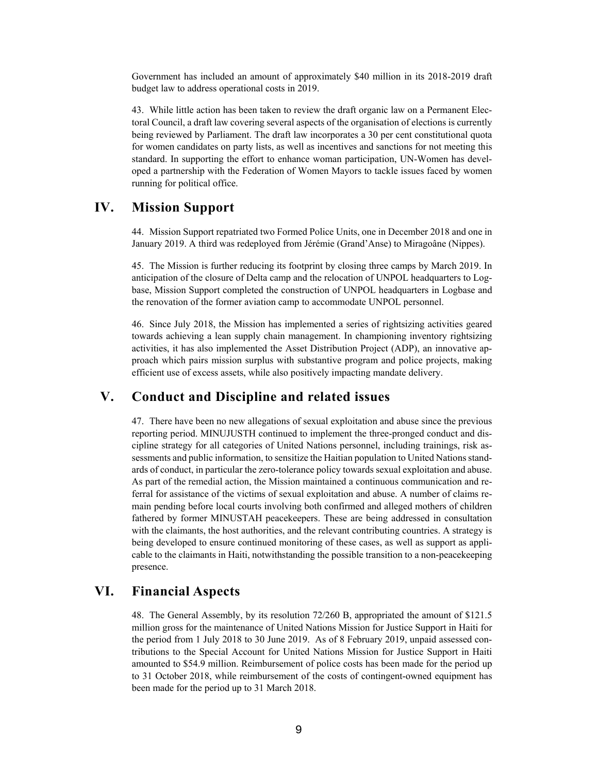Government has included an amount of approximately \$40 million in its 2018-2019 draft budget law to address operational costs in 2019.

43. While little action has been taken to review the draft organic law on a Permanent Electoral Council, a draft law covering several aspects of the organisation of elections is currently being reviewed by Parliament. The draft law incorporates a 30 per cent constitutional quota for women candidates on party lists, as well as incentives and sanctions for not meeting this standard. In supporting the effort to enhance woman participation, UN-Women has developed a partnership with the Federation of Women Mayors to tackle issues faced by women running for political office.

### **IV. Mission Support**

44. Mission Support repatriated two Formed Police Units, one in December 2018 and one in January 2019. A third was redeployed from Jérémie (Grand'Anse) to Miragoâne (Nippes).

45. The Mission is further reducing its footprint by closing three camps by March 2019. In anticipation of the closure of Delta camp and the relocation of UNPOL headquarters to Logbase, Mission Support completed the construction of UNPOL headquarters in Logbase and the renovation of the former aviation camp to accommodate UNPOL personnel.

46. Since July 2018, the Mission has implemented a series of rightsizing activities geared towards achieving a lean supply chain management. In championing inventory rightsizing activities, it has also implemented the Asset Distribution Project (ADP), an innovative approach which pairs mission surplus with substantive program and police projects, making efficient use of excess assets, while also positively impacting mandate delivery.

# **V. Conduct and Discipline and related issues**

47. There have been no new allegations of sexual exploitation and abuse since the previous reporting period. MINUJUSTH continued to implement the three-pronged conduct and discipline strategy for all categories of United Nations personnel, including trainings, risk assessments and public information, to sensitize the Haitian population to United Nations standards of conduct, in particular the zero-tolerance policy towards sexual exploitation and abuse. As part of the remedial action, the Mission maintained a continuous communication and referral for assistance of the victims of sexual exploitation and abuse. A number of claims remain pending before local courts involving both confirmed and alleged mothers of children fathered by former MINUSTAH peacekeepers. These are being addressed in consultation with the claimants, the host authorities, and the relevant contributing countries. A strategy is being developed to ensure continued monitoring of these cases, as well as support as applicable to the claimants in Haiti, notwithstanding the possible transition to a non-peacekeeping presence.

### **VI. Financial Aspects**

48. The General Assembly, by its resolution 72/260 B, appropriated the amount of \$121.5 million gross for the maintenance of United Nations Mission for Justice Support in Haiti for the period from 1 July 2018 to 30 June 2019. As of 8 February 2019, unpaid assessed contributions to the Special Account for United Nations Mission for Justice Support in Haiti amounted to \$54.9 million. Reimbursement of police costs has been made for the period up to 31 October 2018, while reimbursement of the costs of contingent-owned equipment has been made for the period up to 31 March 2018.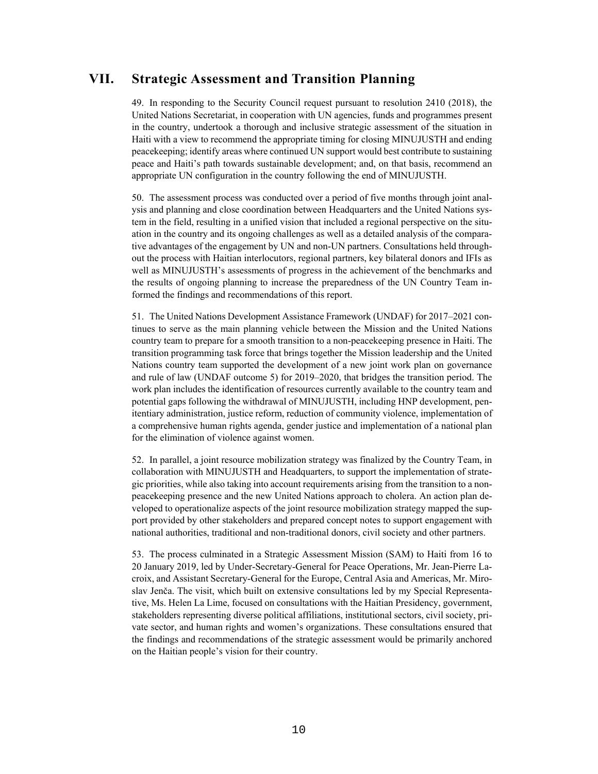### **VII. Strategic Assessment and Transition Planning**

49. In responding to the Security Council request pursuant to resolution 2410 (2018), the United Nations Secretariat, in cooperation with UN agencies, funds and programmes present in the country, undertook a thorough and inclusive strategic assessment of the situation in Haiti with a view to recommend the appropriate timing for closing MINUJUSTH and ending peacekeeping; identify areas where continued UN support would best contribute to sustaining peace and Haiti's path towards sustainable development; and, on that basis, recommend an appropriate UN configuration in the country following the end of MINUJUSTH.

50. The assessment process was conducted over a period of five months through joint analysis and planning and close coordination between Headquarters and the United Nations system in the field, resulting in a unified vision that included a regional perspective on the situation in the country and its ongoing challenges as well as a detailed analysis of the comparative advantages of the engagement by UN and non-UN partners. Consultations held throughout the process with Haitian interlocutors, regional partners, key bilateral donors and IFIs as well as MINUJUSTH's assessments of progress in the achievement of the benchmarks and the results of ongoing planning to increase the preparedness of the UN Country Team informed the findings and recommendations of this report.

51. The United Nations Development Assistance Framework (UNDAF) for 2017–2021 continues to serve as the main planning vehicle between the Mission and the United Nations country team to prepare for a smooth transition to a non-peacekeeping presence in Haiti. The transition programming task force that brings together the Mission leadership and the United Nations country team supported the development of a new joint work plan on governance and rule of law (UNDAF outcome 5) for 2019–2020, that bridges the transition period. The work plan includes the identification of resources currently available to the country team and potential gaps following the withdrawal of MINUJUSTH, including HNP development, penitentiary administration, justice reform, reduction of community violence, implementation of a comprehensive human rights agenda, gender justice and implementation of a national plan for the elimination of violence against women.

52. In parallel, a joint resource mobilization strategy was finalized by the Country Team, in collaboration with MINUJUSTH and Headquarters, to support the implementation of strategic priorities, while also taking into account requirements arising from the transition to a nonpeacekeeping presence and the new United Nations approach to cholera. An action plan developed to operationalize aspects of the joint resource mobilization strategy mapped the support provided by other stakeholders and prepared concept notes to support engagement with national authorities, traditional and non-traditional donors, civil society and other partners.

53. The process culminated in a Strategic Assessment Mission (SAM) to Haiti from 16 to 20 January 2019, led by Under-Secretary-General for Peace Operations, Mr. Jean-Pierre Lacroix, and Assistant Secretary-General for the Europe, Central Asia and Americas, Mr. Miroslav Jenča. The visit, which built on extensive consultations led by my Special Representative, Ms. Helen La Lime, focused on consultations with the Haitian Presidency, government, stakeholders representing diverse political affiliations, institutional sectors, civil society, private sector, and human rights and women's organizations. These consultations ensured that the findings and recommendations of the strategic assessment would be primarily anchored on the Haitian people's vision for their country.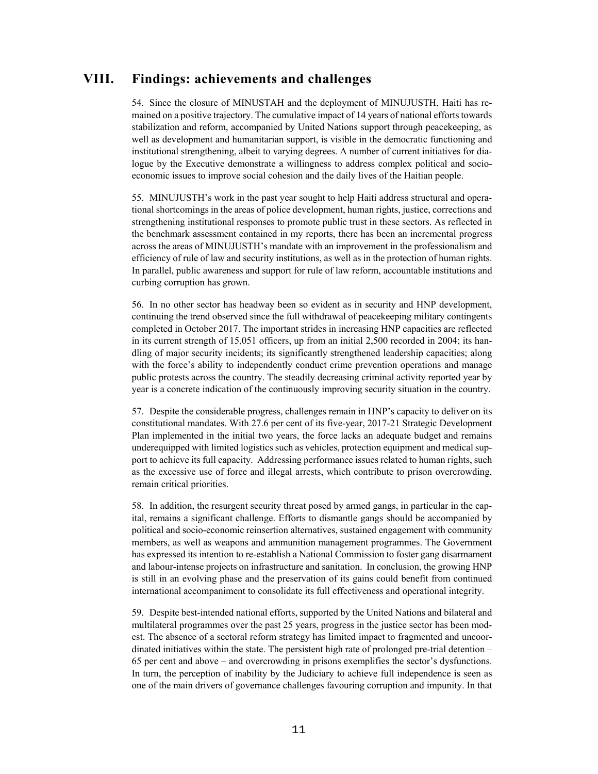### **VIII. Findings: achievements and challenges**

54. Since the closure of MINUSTAH and the deployment of MINUJUSTH, Haiti has remained on a positive trajectory. The cumulative impact of 14 years of national efforts towards stabilization and reform, accompanied by United Nations support through peacekeeping, as well as development and humanitarian support, is visible in the democratic functioning and institutional strengthening, albeit to varying degrees. A number of current initiatives for dialogue by the Executive demonstrate a willingness to address complex political and socioeconomic issues to improve social cohesion and the daily lives of the Haitian people.

55. MINUJUSTH's work in the past year sought to help Haiti address structural and operational shortcomings in the areas of police development, human rights, justice, corrections and strengthening institutional responses to promote public trust in these sectors. As reflected in the benchmark assessment contained in my reports, there has been an incremental progress across the areas of MINUJUSTH's mandate with an improvement in the professionalism and efficiency of rule of law and security institutions, as well as in the protection of human rights. In parallel, public awareness and support for rule of law reform, accountable institutions and curbing corruption has grown.

56. In no other sector has headway been so evident as in security and HNP development, continuing the trend observed since the full withdrawal of peacekeeping military contingents completed in October 2017. The important strides in increasing HNP capacities are reflected in its current strength of 15,051 officers, up from an initial 2,500 recorded in 2004; its handling of major security incidents; its significantly strengthened leadership capacities; along with the force's ability to independently conduct crime prevention operations and manage public protests across the country. The steadily decreasing criminal activity reported year by year is a concrete indication of the continuously improving security situation in the country.

57. Despite the considerable progress, challenges remain in HNP's capacity to deliver on its constitutional mandates. With 27.6 per cent of its five-year, 2017-21 Strategic Development Plan implemented in the initial two years, the force lacks an adequate budget and remains underequipped with limited logistics such as vehicles, protection equipment and medical support to achieve its full capacity. Addressing performance issues related to human rights, such as the excessive use of force and illegal arrests, which contribute to prison overcrowding, remain critical priorities.

58. In addition, the resurgent security threat posed by armed gangs, in particular in the capital, remains a significant challenge. Efforts to dismantle gangs should be accompanied by political and socio-economic reinsertion alternatives, sustained engagement with community members, as well as weapons and ammunition management programmes. The Government has expressed its intention to re-establish a National Commission to foster gang disarmament and labour-intense projects on infrastructure and sanitation. In conclusion, the growing HNP is still in an evolving phase and the preservation of its gains could benefit from continued international accompaniment to consolidate its full effectiveness and operational integrity.

59. Despite best-intended national efforts, supported by the United Nations and bilateral and multilateral programmes over the past 25 years, progress in the justice sector has been modest. The absence of a sectoral reform strategy has limited impact to fragmented and uncoordinated initiatives within the state. The persistent high rate of prolonged pre-trial detention – 65 per cent and above – and overcrowding in prisons exemplifies the sector's dysfunctions. In turn, the perception of inability by the Judiciary to achieve full independence is seen as one of the main drivers of governance challenges favouring corruption and impunity. In that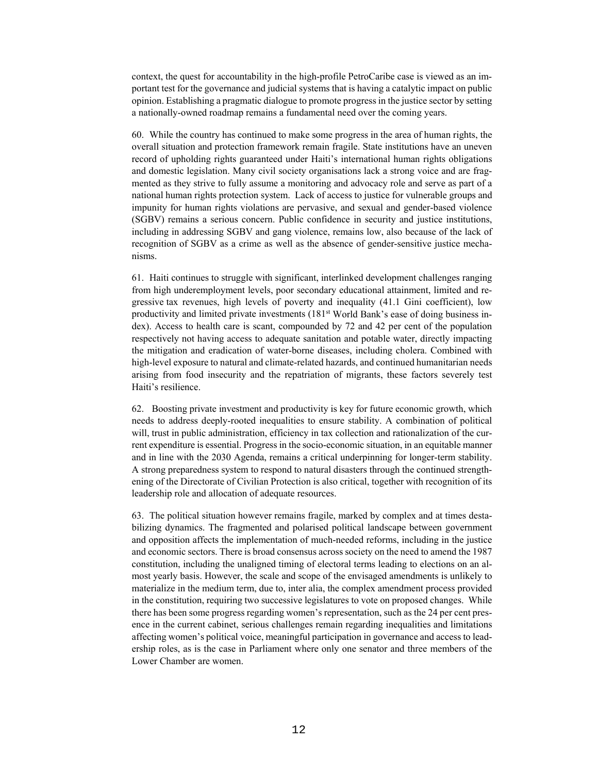context, the quest for accountability in the high-profile PetroCaribe case is viewed as an important test for the governance and judicial systems that is having a catalytic impact on public opinion. Establishing a pragmatic dialogue to promote progress in the justice sector by setting a nationally-owned roadmap remains a fundamental need over the coming years.

60. While the country has continued to make some progress in the area of human rights, the overall situation and protection framework remain fragile. State institutions have an uneven record of upholding rights guaranteed under Haiti's international human rights obligations and domestic legislation. Many civil society organisations lack a strong voice and are fragmented as they strive to fully assume a monitoring and advocacy role and serve as part of a national human rights protection system. Lack of access to justice for vulnerable groups and impunity for human rights violations are pervasive, and sexual and gender-based violence (SGBV) remains a serious concern. Public confidence in security and justice institutions, including in addressing SGBV and gang violence, remains low, also because of the lack of recognition of SGBV as a crime as well as the absence of gender-sensitive justice mechanisms.

61. Haiti continues to struggle with significant, interlinked development challenges ranging from high underemployment levels, poor secondary educational attainment, limited and regressive tax revenues, high levels of poverty and inequality (41.1 Gini coefficient), low productivity and limited private investments (181st World Bank's ease of doing business index). Access to health care is scant, compounded by 72 and 42 per cent of the population respectively not having access to adequate sanitation and potable water, directly impacting the mitigation and eradication of water-borne diseases, including cholera. Combined with high-level exposure to natural and climate-related hazards, and continued humanitarian needs arising from food insecurity and the repatriation of migrants, these factors severely test Haiti's resilience.

62. Boosting private investment and productivity is key for future economic growth, which needs to address deeply-rooted inequalities to ensure stability. A combination of political will, trust in public administration, efficiency in tax collection and rationalization of the current expenditure is essential. Progress in the socio-economic situation, in an equitable manner and in line with the 2030 Agenda, remains a critical underpinning for longer-term stability. A strong preparedness system to respond to natural disasters through the continued strengthening of the Directorate of Civilian Protection is also critical, together with recognition of its leadership role and allocation of adequate resources.

63. The political situation however remains fragile, marked by complex and at times destabilizing dynamics. The fragmented and polarised political landscape between government and opposition affects the implementation of much-needed reforms, including in the justice and economic sectors. There is broad consensus across society on the need to amend the 1987 constitution, including the unaligned timing of electoral terms leading to elections on an almost yearly basis. However, the scale and scope of the envisaged amendments is unlikely to materialize in the medium term, due to, inter alia, the complex amendment process provided in the constitution, requiring two successive legislatures to vote on proposed changes. While there has been some progress regarding women's representation, such as the 24 per cent presence in the current cabinet, serious challenges remain regarding inequalities and limitations affecting women's political voice, meaningful participation in governance and access to leadership roles, as is the case in Parliament where only one senator and three members of the Lower Chamber are women.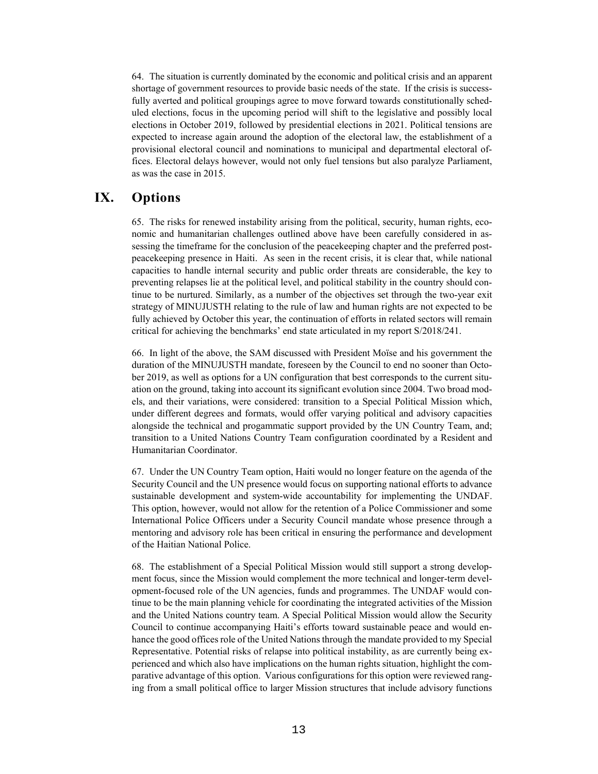64. The situation is currently dominated by the economic and political crisis and an apparent shortage of government resources to provide basic needs of the state. If the crisis is successfully averted and political groupings agree to move forward towards constitutionally scheduled elections, focus in the upcoming period will shift to the legislative and possibly local elections in October 2019, followed by presidential elections in 2021. Political tensions are expected to increase again around the adoption of the electoral law, the establishment of a provisional electoral council and nominations to municipal and departmental electoral offices. Electoral delays however, would not only fuel tensions but also paralyze Parliament, as was the case in 2015.

# **IX. Options**

65. The risks for renewed instability arising from the political, security, human rights, economic and humanitarian challenges outlined above have been carefully considered in assessing the timeframe for the conclusion of the peacekeeping chapter and the preferred postpeacekeeping presence in Haiti. As seen in the recent crisis, it is clear that, while national capacities to handle internal security and public order threats are considerable, the key to preventing relapses lie at the political level, and political stability in the country should continue to be nurtured. Similarly, as a number of the objectives set through the two-year exit strategy of MINUJUSTH relating to the rule of law and human rights are not expected to be fully achieved by October this year, the continuation of efforts in related sectors will remain critical for achieving the benchmarks' end state articulated in my report S/2018/241.

66. In light of the above, the SAM discussed with President Moïse and his government the duration of the MINUJUSTH mandate, foreseen by the Council to end no sooner than October 2019, as well as options for a UN configuration that best corresponds to the current situation on the ground, taking into account its significant evolution since 2004. Two broad models, and their variations, were considered: transition to a Special Political Mission which, under different degrees and formats, would offer varying political and advisory capacities alongside the technical and progammatic support provided by the UN Country Team, and; transition to a United Nations Country Team configuration coordinated by a Resident and Humanitarian Coordinator.

67. Under the UN Country Team option, Haiti would no longer feature on the agenda of the Security Council and the UN presence would focus on supporting national efforts to advance sustainable development and system-wide accountability for implementing the UNDAF. This option, however, would not allow for the retention of a Police Commissioner and some International Police Officers under a Security Council mandate whose presence through a mentoring and advisory role has been critical in ensuring the performance and development of the Haitian National Police.

68. The establishment of a Special Political Mission would still support a strong development focus, since the Mission would complement the more technical and longer-term development-focused role of the UN agencies, funds and programmes. The UNDAF would continue to be the main planning vehicle for coordinating the integrated activities of the Mission and the United Nations country team. A Special Political Mission would allow the Security Council to continue accompanying Haiti's efforts toward sustainable peace and would enhance the good offices role of the United Nations through the mandate provided to my Special Representative. Potential risks of relapse into political instability, as are currently being experienced and which also have implications on the human rights situation, highlight the comparative advantage of this option. Various configurations for this option were reviewed ranging from a small political office to larger Mission structures that include advisory functions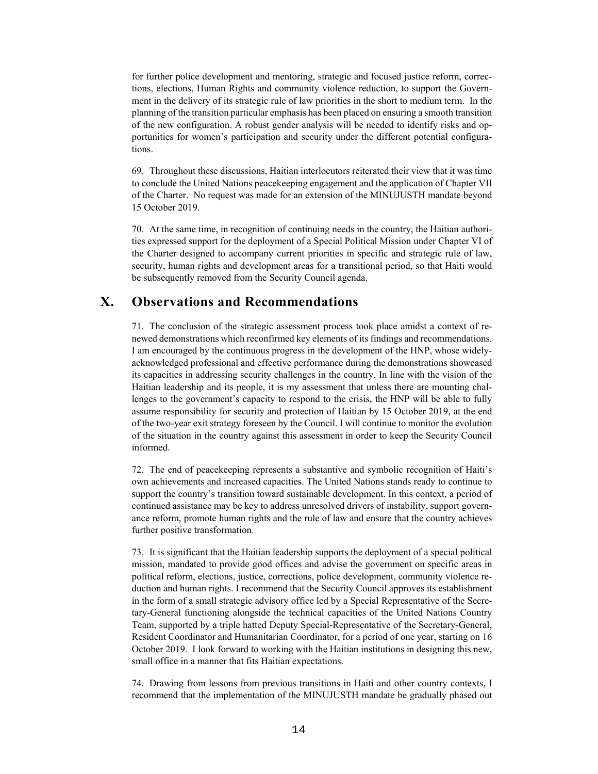for further police development and mentoring, strategic and focused justice reform, corrections, elections, Human Rights and community violence reduction, to support the Government in the delivery of its strategic rule of law priorities in the short to medium term. In the planning of the transition particular emphasis has been placed on ensuring a smooth transition of the new configuration. A robust gender analysis will be needed to identify risks and opportunities for women's participation and security under the different potential configurations.

69. Throughout these discussions, Haitian interlocutors reiterated their view that it was time to conclude the United Nations peacekeeping engagement and the application of Chapter VII of the Charter. No request was made for an extension of the MINUJUSTH mandate beyond 15 October 2019.

70. At the same time, in recognition of continuing needs in the country, the Haitian authorities expressed support for the deployment of a Special Political Mission under Chapter VI of the Charter designed to accompany current priorities in specific and strategic rule of law, security, human rights and development areas for a transitional period, so that Haiti would be subsequently removed from the Security Council agenda.

# **X. Observations and Recommendations**

71. The conclusion of the strategic assessment process took place amidst a context of renewed demonstrations which reconfirmed key elements of its findings and recommendations. I am encouraged by the continuous progress in the development of the HNP, whose widelyacknowledged professional and effective performance during the demonstrations showcased its capacities in addressing security challenges in the country. In line with the vision of the Haitian leadership and its people, it is my assessment that unless there are mounting challenges to the government's capacity to respond to the crisis, the HNP will be able to fully assume responsibility for security and protection of Haitian by 15 October 2019, at the end of the two-year exit strategy foreseen by the Council. I will continue to monitor the evolution of the situation in the country against this assessment in order to keep the Security Council informed.

72. The end of peacekeeping represents a substantive and symbolic recognition of Haiti's own achievements and increased capacities. The United Nations stands ready to continue to support the country's transition toward sustainable development. In this context, a period of continued assistance may be key to address unresolved drivers of instability, support governance reform, promote human rights and the rule of law and ensure that the country achieves further positive transformation.

73. It is significant that the Haitian leadership supports the deployment of a special political mission, mandated to provide good offices and advise the government on specific areas in political reform, elections, justice, corrections, police development, community violence reduction and human rights. I recommend that the Security Council approves its establishment in the form of a small strategic advisory office led by a Special Representative of the Secretary-General functioning alongside the technical capacities of the United Nations Country Team, supported by a triple hatted Deputy Special-Representative of the Secretary-General, Resident Coordinator and Humanitarian Coordinator, for a period of one year, starting on 16 October 2019. I look forward to working with the Haitian institutions in designing this new, small office in a manner that fits Haitian expectations.

74. Drawing from lessons from previous transitions in Haiti and other country contexts, I recommend that the implementation of the MINUJUSTH mandate be gradually phased out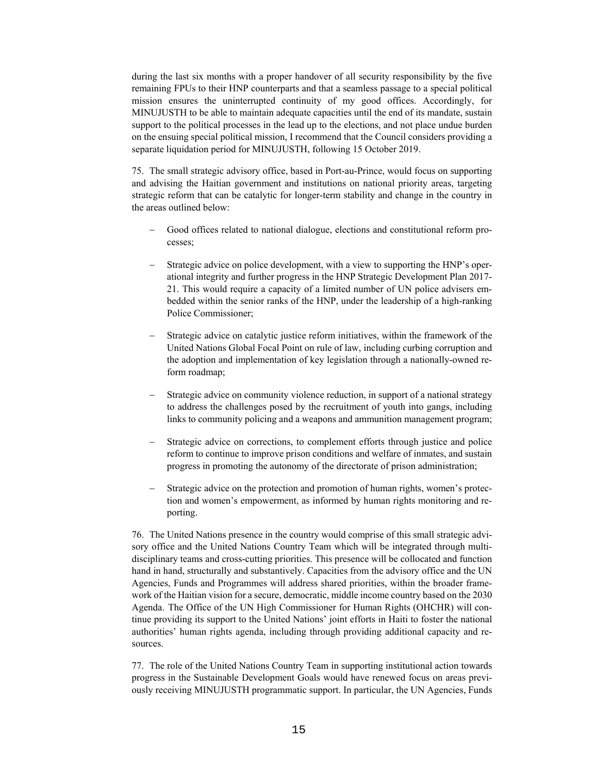during the last six months with a proper handover of all security responsibility by the five remaining FPUs to their HNP counterparts and that a seamless passage to a special political mission ensures the uninterrupted continuity of my good offices. Accordingly, for MINUJUSTH to be able to maintain adequate capacities until the end of its mandate, sustain support to the political processes in the lead up to the elections, and not place undue burden on the ensuing special political mission, I recommend that the Council considers providing a separate liquidation period for MINUJUSTH, following 15 October 2019.

75. The small strategic advisory office, based in Port-au-Prince, would focus on supporting and advising the Haitian government and institutions on national priority areas, targeting strategic reform that can be catalytic for longer-term stability and change in the country in the areas outlined below:

- Good offices related to national dialogue, elections and constitutional reform processes;
- Strategic advice on police development, with a view to supporting the HNP's operational integrity and further progress in the HNP Strategic Development Plan 2017- 21. This would require a capacity of a limited number of UN police advisers embedded within the senior ranks of the HNP, under the leadership of a high-ranking Police Commissioner;
- Strategic advice on catalytic justice reform initiatives, within the framework of the United Nations Global Focal Point on rule of law, including curbing corruption and the adoption and implementation of key legislation through a nationally-owned reform roadmap;
- Strategic advice on community violence reduction, in support of a national strategy to address the challenges posed by the recruitment of youth into gangs, including links to community policing and a weapons and ammunition management program;
- Strategic advice on corrections, to complement efforts through justice and police reform to continue to improve prison conditions and welfare of inmates, and sustain progress in promoting the autonomy of the directorate of prison administration;
- Strategic advice on the protection and promotion of human rights, women's protection and women's empowerment, as informed by human rights monitoring and reporting.

76. The United Nations presence in the country would comprise of this small strategic advisory office and the United Nations Country Team which will be integrated through multidisciplinary teams and cross-cutting priorities. This presence will be collocated and function hand in hand, structurally and substantively. Capacities from the advisory office and the UN Agencies, Funds and Programmes will address shared priorities, within the broader framework of the Haitian vision for a secure, democratic, middle income country based on the 2030 Agenda. The Office of the UN High Commissioner for Human Rights (OHCHR) will continue providing its support to the United Nations' joint efforts in Haiti to foster the national authorities' human rights agenda, including through providing additional capacity and resources.

77. The role of the United Nations Country Team in supporting institutional action towards progress in the Sustainable Development Goals would have renewed focus on areas previously receiving MINUJUSTH programmatic support. In particular, the UN Agencies, Funds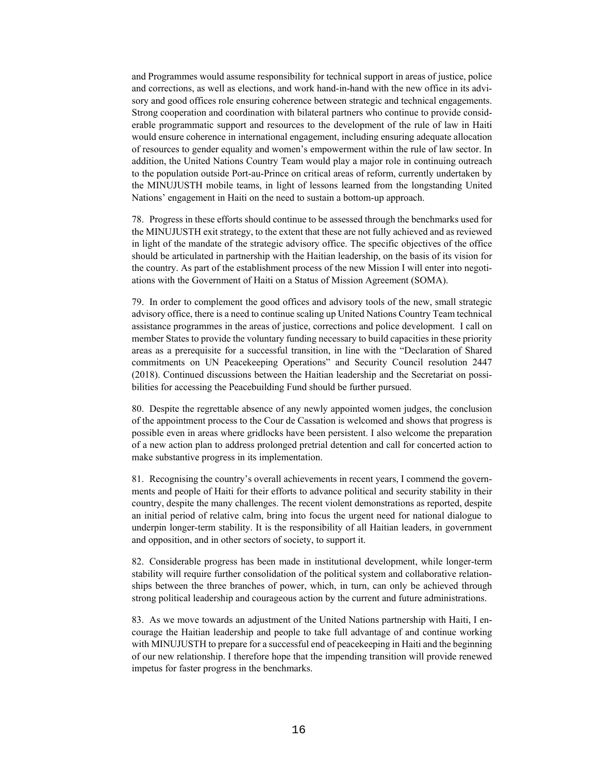and Programmes would assume responsibility for technical support in areas of justice, police and corrections, as well as elections, and work hand-in-hand with the new office in its advisory and good offices role ensuring coherence between strategic and technical engagements. Strong cooperation and coordination with bilateral partners who continue to provide considerable programmatic support and resources to the development of the rule of law in Haiti would ensure coherence in international engagement, including ensuring adequate allocation of resources to gender equality and women's empowerment within the rule of law sector. In addition, the United Nations Country Team would play a major role in continuing outreach to the population outside Port-au-Prince on critical areas of reform, currently undertaken by the MINUJUSTH mobile teams, in light of lessons learned from the longstanding United Nations' engagement in Haiti on the need to sustain a bottom-up approach.

78. Progress in these efforts should continue to be assessed through the benchmarks used for the MINUJUSTH exit strategy, to the extent that these are not fully achieved and as reviewed in light of the mandate of the strategic advisory office. The specific objectives of the office should be articulated in partnership with the Haitian leadership, on the basis of its vision for the country. As part of the establishment process of the new Mission I will enter into negotiations with the Government of Haiti on a Status of Mission Agreement (SOMA).

79. In order to complement the good offices and advisory tools of the new, small strategic advisory office, there is a need to continue scaling up United Nations Country Team technical assistance programmes in the areas of justice, corrections and police development. I call on member States to provide the voluntary funding necessary to build capacities in these priority areas as a prerequisite for a successful transition, in line with the "Declaration of Shared commitments on UN Peacekeeping Operations" and Security Council resolution 2447 (2018). Continued discussions between the Haitian leadership and the Secretariat on possibilities for accessing the Peacebuilding Fund should be further pursued.

80. Despite the regrettable absence of any newly appointed women judges, the conclusion of the appointment process to the Cour de Cassation is welcomed and shows that progress is possible even in areas where gridlocks have been persistent. I also welcome the preparation of a new action plan to address prolonged pretrial detention and call for concerted action to make substantive progress in its implementation.

81. Recognising the country's overall achievements in recent years, I commend the governments and people of Haiti for their efforts to advance political and security stability in their country, despite the many challenges. The recent violent demonstrations as reported, despite an initial period of relative calm, bring into focus the urgent need for national dialogue to underpin longer-term stability. It is the responsibility of all Haitian leaders, in government and opposition, and in other sectors of society, to support it.

82. Considerable progress has been made in institutional development, while longer-term stability will require further consolidation of the political system and collaborative relationships between the three branches of power, which, in turn, can only be achieved through strong political leadership and courageous action by the current and future administrations.

83. As we move towards an adjustment of the United Nations partnership with Haiti, I encourage the Haitian leadership and people to take full advantage of and continue working with MINUJUSTH to prepare for a successful end of peacekeeping in Haiti and the beginning of our new relationship. I therefore hope that the impending transition will provide renewed impetus for faster progress in the benchmarks.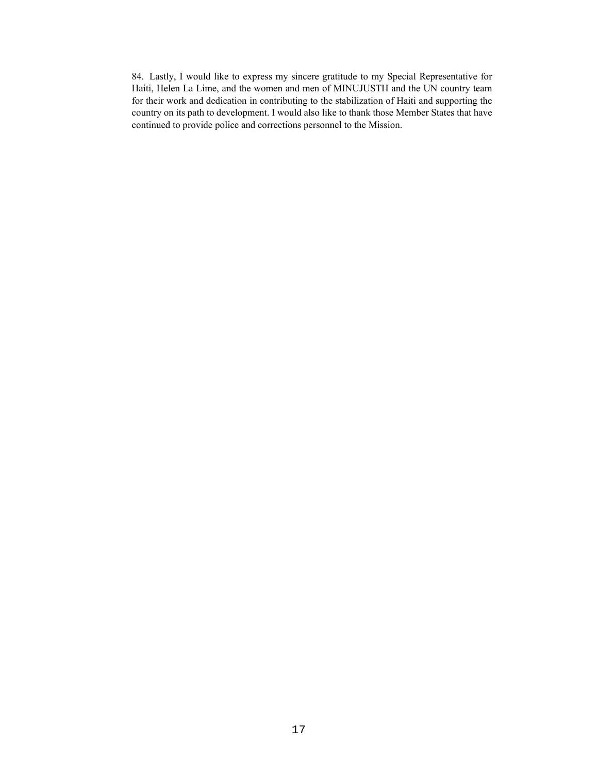84. Lastly, I would like to express my sincere gratitude to my Special Representative for Haiti, Helen La Lime, and the women and men of MINUJUSTH and the UN country team for their work and dedication in contributing to the stabilization of Haiti and supporting the country on its path to development. I would also like to thank those Member States that have continued to provide police and corrections personnel to the Mission.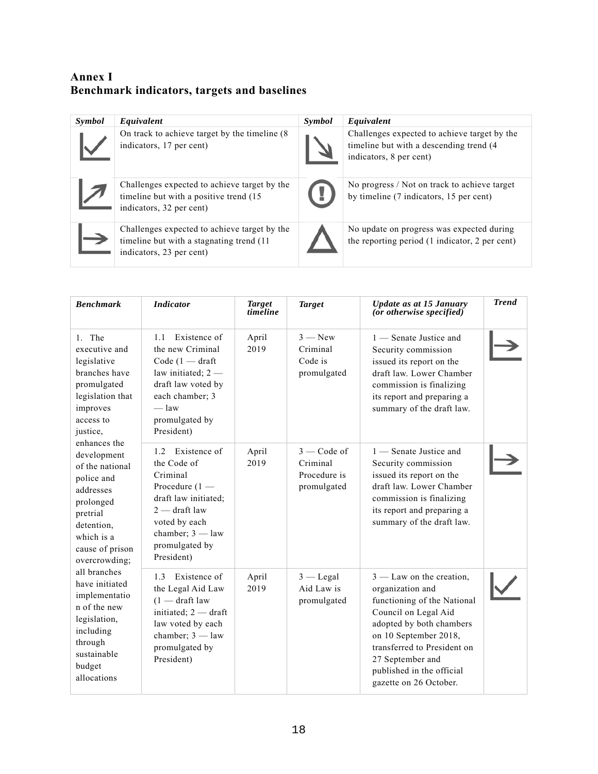# **Annex I Benchmark indicators, targets and baselines**

| Symbol | Equivalent                                                                                                            | Symbol | Equivalent                                                                                                         |
|--------|-----------------------------------------------------------------------------------------------------------------------|--------|--------------------------------------------------------------------------------------------------------------------|
|        | On track to achieve target by the timeline (8)<br>indicators, 17 per cent)                                            |        | Challenges expected to achieve target by the<br>timeline but with a descending trend (4<br>indicators, 8 per cent) |
|        | Challenges expected to achieve target by the<br>timeline but with a positive trend (15<br>indicators, 32 per cent)    |        | No progress / Not on track to achieve target<br>by timeline (7 indicators, 15 per cent)                            |
|        | Challenges expected to achieve target by the<br>timeline but with a stagnating trend (11)<br>indicators, 23 per cent) |        | No update on progress was expected during<br>the reporting period (1 indicator, 2 per cent)                        |

| <b>Benchmark</b>                                                                                                                                                                                                                                                                                                      | <b>Indicator</b>                                                                                                                                                                  | Target<br>timeline | <b>Target</b>                                                   | Update as at 15 January<br>(or otherwise specified)                                                                                                                                                                                                                  | <b>Trend</b> |
|-----------------------------------------------------------------------------------------------------------------------------------------------------------------------------------------------------------------------------------------------------------------------------------------------------------------------|-----------------------------------------------------------------------------------------------------------------------------------------------------------------------------------|--------------------|-----------------------------------------------------------------|----------------------------------------------------------------------------------------------------------------------------------------------------------------------------------------------------------------------------------------------------------------------|--------------|
| 1. The<br>executive and<br>legislative<br>branches have<br>promulgated<br>legislation that<br>improves<br>access to<br>justice,                                                                                                                                                                                       | Existence of<br>1.1<br>the new Criminal<br>Code $(1 - dr)$ aft<br>law initiated; $2 -$<br>draft law voted by<br>each chamber; 3<br>$-\frac{1}{2}$<br>promulgated by<br>President) | April<br>2019      | $3 - New$<br>Criminal<br>Code is<br>promulgated                 | 1 — Senate Justice and<br>Security commission<br>issued its report on the<br>draft law. Lower Chamber<br>commission is finalizing<br>its report and preparing a<br>summary of the draft law.                                                                         |              |
| enhances the<br>development<br>of the national<br>police and<br>addresses<br>prolonged<br>pretrial<br>detention.<br>which is a<br>cause of prison<br>overcrowding;<br>all branches<br>have initiated<br>implementatio<br>n of the new<br>legislation,<br>including<br>through<br>sustainable<br>budget<br>allocations | 1.2 Existence of<br>the Code of<br>Criminal<br>Procedure $(1 -$<br>draft law initiated;<br>$2 -$ draft law<br>voted by each<br>chamber; $3 - law$<br>promulgated by<br>President) | April<br>2019      | $3 - \text{Code of}$<br>Criminal<br>Procedure is<br>promulgated | 1 - Senate Justice and<br>Security commission<br>issued its report on the<br>draft law. Lower Chamber<br>commission is finalizing<br>its report and preparing a<br>summary of the draft law.                                                                         |              |
|                                                                                                                                                                                                                                                                                                                       | 1.3 Existence of<br>the Legal Aid Law<br>$(1 - \text{draff law})$<br>initiated; 2 - draft<br>law voted by each<br>chamber; $3 - law$<br>promulgated by<br>President)              | April<br>2019      | $3 -$ Legal<br>Aid Law is<br>promulgated                        | $3$ — Law on the creation,<br>organization and<br>functioning of the National<br>Council on Legal Aid<br>adopted by both chambers<br>on 10 September 2018,<br>transferred to President on<br>27 September and<br>published in the official<br>gazette on 26 October. |              |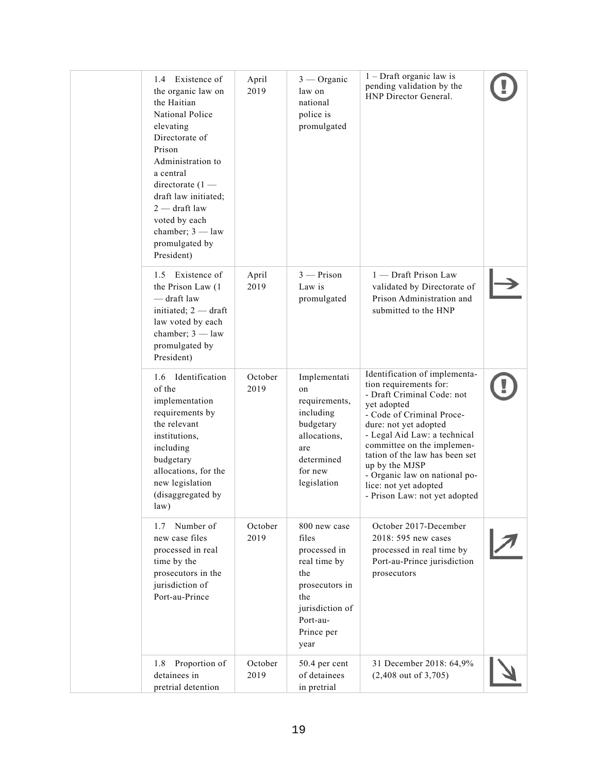|  | 1.4 Existence of<br>the organic law on<br>the Haitian<br>National Police<br>elevating<br>Directorate of<br>Prison<br>Administration to<br>a central<br>directorate $(1 -$<br>draft law initiated;<br>$2$ - draft law<br>voted by each<br>chamber; $3 - law$<br>promulgated by<br>President) | April<br>2019   | $3$ — Organic<br>law on<br>national<br>police is<br>promulgated                                                                            | $1 -$ Draft organic law is<br>pending validation by the<br>HNP Director General.                                                                                                                                                                                                                                                                                        |  |
|--|---------------------------------------------------------------------------------------------------------------------------------------------------------------------------------------------------------------------------------------------------------------------------------------------|-----------------|--------------------------------------------------------------------------------------------------------------------------------------------|-------------------------------------------------------------------------------------------------------------------------------------------------------------------------------------------------------------------------------------------------------------------------------------------------------------------------------------------------------------------------|--|
|  | 1.5 Existence of<br>the Prison Law (1)<br>- draft law<br>initiated; $2 - dr$ aft<br>law voted by each<br>chamber; $3 - law$<br>promulgated by<br>President)                                                                                                                                 | April<br>2019   | $3$ - Prison<br>Law is<br>promulgated                                                                                                      | 1 — Draft Prison Law<br>validated by Directorate of<br>Prison Administration and<br>submitted to the HNP                                                                                                                                                                                                                                                                |  |
|  | 1.6 Identification<br>of the<br>implementation<br>requirements by<br>the relevant<br>institutions,<br>including<br>budgetary<br>allocations, for the<br>new legislation<br>(disaggregated by<br>law)                                                                                        | October<br>2019 | Implementati<br>on<br>requirements,<br>including<br>budgetary<br>allocations,<br>are<br>determined<br>for new<br>legislation               | Identification of implementa-<br>tion requirements for:<br>- Draft Criminal Code: not<br>yet adopted<br>- Code of Criminal Proce-<br>dure: not yet adopted<br>- Legal Aid Law: a technical<br>committee on the implemen-<br>tation of the law has been set<br>up by the MJSP<br>- Organic law on national po-<br>lice: not yet adopted<br>- Prison Law: not yet adopted |  |
|  | Number of<br>1.7<br>new case files<br>processed in real<br>time by the<br>prosecutors in the<br>jurisdiction of<br>Port-au-Prince                                                                                                                                                           | October<br>2019 | 800 new case<br>files<br>processed in<br>real time by<br>the<br>prosecutors in<br>the<br>jurisdiction of<br>Port-au-<br>Prince per<br>year | October 2017-December<br>2018: 595 new cases<br>processed in real time by<br>Port-au-Prince jurisdiction<br>prosecutors                                                                                                                                                                                                                                                 |  |
|  | Proportion of<br>1.8<br>detainees in<br>pretrial detention                                                                                                                                                                                                                                  | October<br>2019 | 50.4 per cent<br>of detainees<br>in pretrial                                                                                               | 31 December 2018: 64,9%<br>$(2,408$ out of 3,705)                                                                                                                                                                                                                                                                                                                       |  |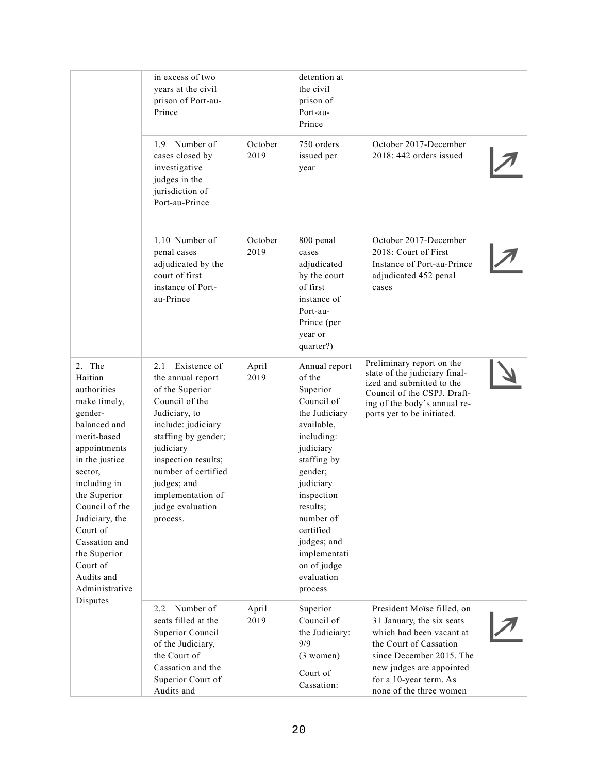|                                                                                                                                                                                                                                                                                                      | in excess of two<br>years at the civil<br>prison of Port-au-<br>Prince                                                                                                                                                                                                  |                 | detention at<br>the civil<br>prison of<br>Port-au-<br>Prince                                                                                                                                                                                                                  |                                                                                                                                                                                                                            |  |
|------------------------------------------------------------------------------------------------------------------------------------------------------------------------------------------------------------------------------------------------------------------------------------------------------|-------------------------------------------------------------------------------------------------------------------------------------------------------------------------------------------------------------------------------------------------------------------------|-----------------|-------------------------------------------------------------------------------------------------------------------------------------------------------------------------------------------------------------------------------------------------------------------------------|----------------------------------------------------------------------------------------------------------------------------------------------------------------------------------------------------------------------------|--|
|                                                                                                                                                                                                                                                                                                      | 1.9 Number of<br>cases closed by<br>investigative<br>judges in the<br>jurisdiction of<br>Port-au-Prince                                                                                                                                                                 | October<br>2019 | 750 orders<br>issued per<br>year                                                                                                                                                                                                                                              | October 2017-December<br>2018: 442 orders issued                                                                                                                                                                           |  |
|                                                                                                                                                                                                                                                                                                      | 1.10 Number of<br>penal cases<br>adjudicated by the<br>court of first<br>instance of Port-<br>au-Prince                                                                                                                                                                 | October<br>2019 | 800 penal<br>cases<br>adjudicated<br>by the court<br>of first<br>instance of<br>Port-au-<br>Prince (per<br>year or<br>quarter?)                                                                                                                                               | October 2017-December<br>2018: Court of First<br>Instance of Port-au-Prince<br>adjudicated 452 penal<br>cases                                                                                                              |  |
| 2. The<br>Haitian<br>authorities<br>make timely,<br>gender-<br>balanced and<br>merit-based<br>appointments<br>in the justice<br>sector,<br>including in<br>the Superior<br>Council of the<br>Judiciary, the<br>Court of<br>Cassation and<br>the Superior<br>Court of<br>Audits and<br>Administrative | 2.1 Existence of<br>the annual report<br>of the Superior<br>Council of the<br>Judiciary, to<br>include: judiciary<br>staffing by gender;<br>judiciary<br>inspection results;<br>number of certified<br>judges; and<br>implementation of<br>judge evaluation<br>process. | April<br>2019   | Annual report<br>of the<br>Superior<br>Council of<br>the Judiciary<br>available,<br>including:<br>judiciary<br>staffing by<br>gender;<br>judiciary<br>inspection<br>results;<br>number of<br>certified<br>judges; and<br>implementati<br>on of judge<br>evaluation<br>process | Preliminary report on the<br>state of the judiciary final-<br>ized and submitted to the<br>Council of the CSPJ. Draft-<br>ing of the body's annual re-<br>ports yet to be initiated.                                       |  |
| Disputes                                                                                                                                                                                                                                                                                             | Number of<br>2.2<br>seats filled at the<br>Superior Council<br>of the Judiciary,<br>the Court of<br>Cassation and the<br>Superior Court of<br>Audits and                                                                                                                | April<br>2019   | Superior<br>Council of<br>the Judiciary:<br>9/9<br>$(3$ women)<br>Court of<br>Cassation:                                                                                                                                                                                      | President Moïse filled, on<br>31 January, the six seats<br>which had been vacant at<br>the Court of Cassation<br>since December 2015. The<br>new judges are appointed<br>for a 10-year term. As<br>none of the three women |  |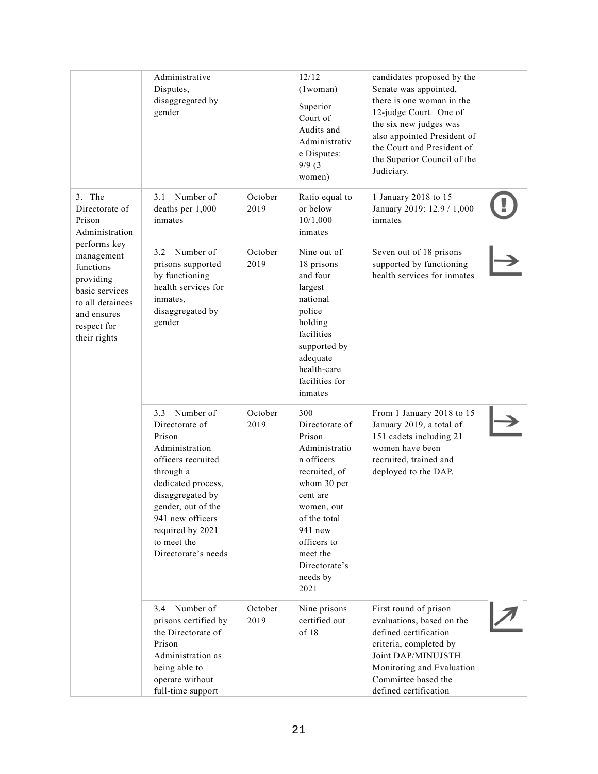|                                                                                                                                          | Administrative<br>Disputes,<br>disaggregated by<br>gender                                                                                                                                                                                    |                 | 12/12<br>$(1$ woman $)$<br>Superior<br>Court of<br>Audits and<br>Administrativ<br>e Disputes:<br>9/9(3)<br>women)                                                                                                   | candidates proposed by the<br>Senate was appointed,<br>there is one woman in the<br>12-judge Court. One of<br>the six new judges was<br>also appointed President of<br>the Court and President of<br>the Superior Council of the<br>Judiciary. |  |
|------------------------------------------------------------------------------------------------------------------------------------------|----------------------------------------------------------------------------------------------------------------------------------------------------------------------------------------------------------------------------------------------|-----------------|---------------------------------------------------------------------------------------------------------------------------------------------------------------------------------------------------------------------|------------------------------------------------------------------------------------------------------------------------------------------------------------------------------------------------------------------------------------------------|--|
| 3. The<br>Directorate of<br>Prison<br>Administration                                                                                     | Number of<br>3.1<br>deaths per 1,000<br>inmates                                                                                                                                                                                              | October<br>2019 | Ratio equal to<br>or below<br>10/1,000<br>inmates                                                                                                                                                                   | 1 January 2018 to 15<br>January 2019: 12.9 / 1,000<br>inmates                                                                                                                                                                                  |  |
| performs key<br>management<br>functions<br>providing<br>basic services<br>to all detainees<br>and ensures<br>respect for<br>their rights | Number of<br>3.2<br>prisons supported<br>by functioning<br>health services for<br>inmates,<br>disaggregated by<br>gender                                                                                                                     | October<br>2019 | Nine out of<br>18 prisons<br>and four<br>largest<br>national<br>police<br>holding<br>facilities<br>supported by<br>adequate<br>health-care<br>facilities for<br>inmates                                             | Seven out of 18 prisons<br>supported by functioning<br>health services for inmates                                                                                                                                                             |  |
|                                                                                                                                          | 3.3 Number of<br>Directorate of<br>Prison<br>Administration<br>officers recruited<br>through a<br>dedicated process,<br>disaggregated by<br>gender, out of the<br>941 new officers<br>required by 2021<br>to meet the<br>Directorate's needs | October<br>2019 | 300<br>Directorate of<br>Prison<br>Administratio<br>n officers<br>recruited, of<br>whom 30 per<br>cent are<br>women, out<br>of the total<br>941 new<br>officers to<br>meet the<br>Directorate's<br>needs by<br>2021 | From 1 January 2018 to 15<br>January 2019, a total of<br>151 cadets including 21<br>women have been<br>recruited, trained and<br>deployed to the DAP.                                                                                          |  |
|                                                                                                                                          | 3.4 Number of<br>prisons certified by<br>the Directorate of<br>Prison<br>Administration as<br>being able to<br>operate without<br>full-time support                                                                                          | October<br>2019 | Nine prisons<br>certified out<br>of 18                                                                                                                                                                              | First round of prison<br>evaluations, based on the<br>defined certification<br>criteria, completed by<br>Joint DAP/MINUJSTH<br>Monitoring and Evaluation<br>Committee based the<br>defined certification                                       |  |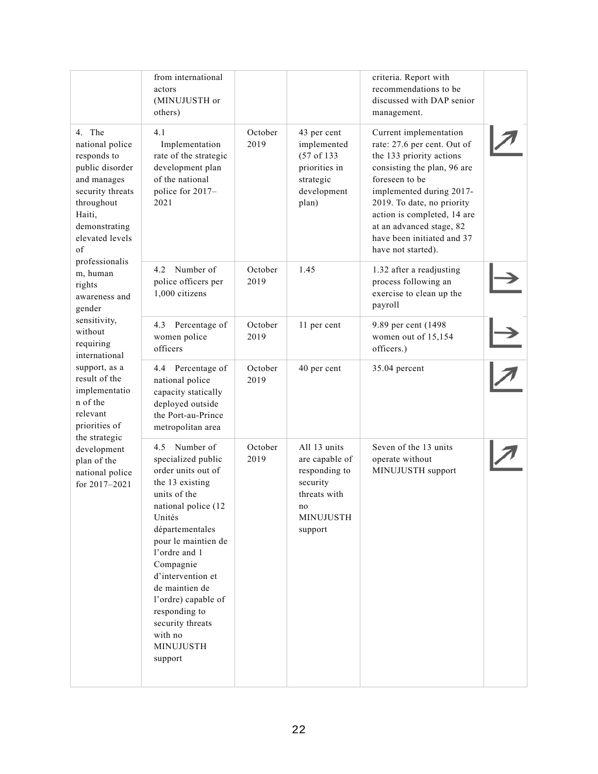|                                                                                                                                                                             | from international<br>actors<br>(MINUJUSTH or<br>others)                                                                                                                                                                                                                                                                                    |                 |                                                                                                                   | criteria. Report with<br>recommendations to be<br>discussed with DAP senior<br>management.                                                                                                                                                                                                                  |  |
|-----------------------------------------------------------------------------------------------------------------------------------------------------------------------------|---------------------------------------------------------------------------------------------------------------------------------------------------------------------------------------------------------------------------------------------------------------------------------------------------------------------------------------------|-----------------|-------------------------------------------------------------------------------------------------------------------|-------------------------------------------------------------------------------------------------------------------------------------------------------------------------------------------------------------------------------------------------------------------------------------------------------------|--|
| 4. The<br>national police<br>responds to<br>public disorder<br>and manages<br>security threats<br>throughout<br>Haiti,<br>demonstrating<br>elevated levels<br>of            | 4.1<br>Implementation<br>rate of the strategic<br>development plan<br>of the national<br>police for 2017-<br>2021                                                                                                                                                                                                                           | October<br>2019 | 43 per cent<br>implemented<br>(57 of 133)<br>priorities in<br>strategic<br>development<br>plan)                   | Current implementation<br>rate: 27.6 per cent. Out of<br>the 133 priority actions<br>consisting the plan, 96 are<br>foreseen to be<br>implemented during 2017-<br>2019. To date, no priority<br>action is completed, 14 are<br>at an advanced stage, 82<br>have been initiated and 37<br>have not started). |  |
| professionalis<br>m, human<br>rights<br>awareness and<br>gender                                                                                                             | Number of<br>4.2<br>police officers per<br>1,000 citizens                                                                                                                                                                                                                                                                                   | October<br>2019 | 1.45                                                                                                              | 1.32 after a readjusting<br>process following an<br>exercise to clean up the<br>payroll                                                                                                                                                                                                                     |  |
| sensitivity,<br>without<br>requiring<br>international                                                                                                                       | 4.3 Percentage of<br>women police<br>officers                                                                                                                                                                                                                                                                                               | October<br>2019 | 11 per cent                                                                                                       | 9.89 per cent (1498<br>women out of 15,154<br>officers.)                                                                                                                                                                                                                                                    |  |
| support, as a<br>result of the<br>implementatio<br>n of the<br>relevant<br>priorities of<br>the strategic<br>development<br>plan of the<br>national police<br>for 2017-2021 | 4.4 Percentage of<br>national police<br>capacity statically<br>deployed outside<br>the Port-au-Prince<br>metropolitan area                                                                                                                                                                                                                  | October<br>2019 | 40 per cent                                                                                                       | 35.04 percent                                                                                                                                                                                                                                                                                               |  |
|                                                                                                                                                                             | 4.5 Number of<br>specialized public<br>order units out of<br>the 13 existing<br>units of the<br>national police (12<br>Unités<br>départementales<br>pour le maintien de<br>l'ordre and 1<br>Compagnie<br>d'intervention et<br>de maintien de<br>l'ordre) capable of<br>responding to<br>security threats<br>with no<br>MINUJUSTH<br>support | October<br>2019 | All 13 units<br>are capable of<br>responding to<br>security<br>threats with<br>no.<br><b>MINUJUSTH</b><br>support | Seven of the 13 units<br>operate without<br>MINUJUSTH support                                                                                                                                                                                                                                               |  |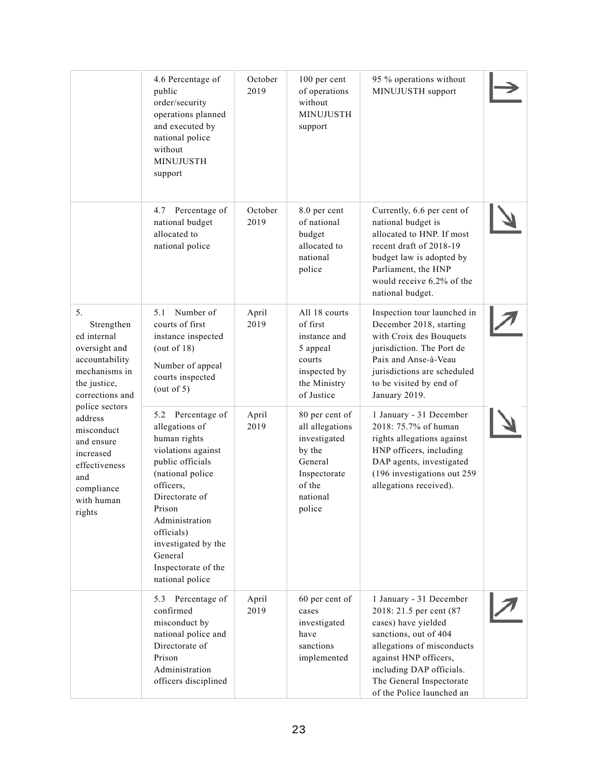|                                                                                                                                  | 4.6 Percentage of<br>public<br>order/security<br>operations planned<br>and executed by<br>national police<br>without<br>MINUJUSTH<br>support                                                                                                                           | October<br>2019 | 100 per cent<br>of operations<br>without<br>MINUJUSTH<br>support                                                       | 95 % operations without<br>MINUJUSTH support                                                                                                                                                                                                   |  |
|----------------------------------------------------------------------------------------------------------------------------------|------------------------------------------------------------------------------------------------------------------------------------------------------------------------------------------------------------------------------------------------------------------------|-----------------|------------------------------------------------------------------------------------------------------------------------|------------------------------------------------------------------------------------------------------------------------------------------------------------------------------------------------------------------------------------------------|--|
|                                                                                                                                  | Percentage of<br>4.7<br>national budget<br>allocated to<br>national police                                                                                                                                                                                             | October<br>2019 | 8.0 per cent<br>of national<br>budget<br>allocated to<br>national<br>police                                            | Currently, 6.6 per cent of<br>national budget is<br>allocated to HNP. If most<br>recent draft of 2018-19<br>budget law is adopted by<br>Parliament, the HNP<br>would receive 6.2% of the<br>national budget.                                   |  |
| 5.<br>Strengthen<br>ed internal<br>oversight and<br>accountability<br>mechanisms in<br>the justice,<br>corrections and           | Number of<br>5.1<br>courts of first<br>instance inspected<br>(out of $18$ )<br>Number of appeal<br>courts inspected<br>(out of 5)                                                                                                                                      | April<br>2019   | All 18 courts<br>of first<br>instance and<br>5 appeal<br>courts<br>inspected by<br>the Ministry<br>of Justice          | Inspection tour launched in<br>December 2018, starting<br>with Croix des Bouquets<br>jurisdiction. The Port de<br>Paix and Anse-à-Veau<br>jurisdictions are scheduled<br>to be visited by end of<br>January 2019.                              |  |
| police sectors<br>address<br>misconduct<br>and ensure<br>increased<br>effectiveness<br>and<br>compliance<br>with human<br>rights | 5.2 Percentage of<br>allegations of<br>human rights<br>violations against<br>public officials<br>(national police<br>officers,<br>Directorate of<br>Prison<br>Administration<br>officials)<br>investigated by the<br>General<br>Inspectorate of the<br>national police | April<br>2019   | 80 per cent of<br>all allegations<br>investigated<br>by the<br>General<br>Inspectorate<br>of the<br>national<br>police | 1 January - 31 December<br>2018: 75.7% of human<br>rights allegations against<br>HNP officers, including<br>DAP agents, investigated<br>(196 investigations out 259<br>allegations received).                                                  |  |
|                                                                                                                                  | Percentage of<br>5.3<br>confirmed<br>misconduct by<br>national police and<br>Directorate of<br>Prison<br>Administration<br>officers disciplined                                                                                                                        | April<br>2019   | 60 per cent of<br>cases<br>investigated<br>have<br>sanctions<br>implemented                                            | 1 January - 31 December<br>2018: 21.5 per cent (87<br>cases) have yielded<br>sanctions, out of 404<br>allegations of misconducts<br>against HNP officers,<br>including DAP officials.<br>The General Inspectorate<br>of the Police launched an |  |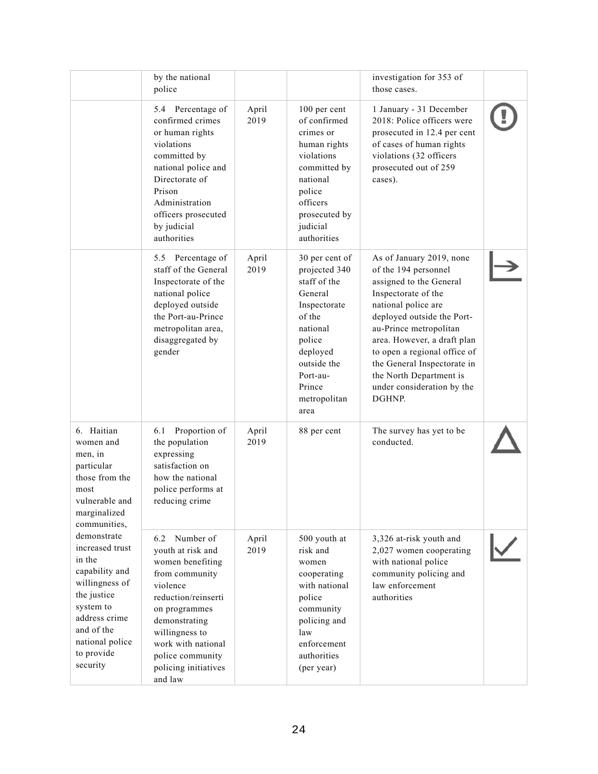|                                                                                                                                                                                      | by the national<br>police                                                                                                                                                                                                                       |               |                                                                                                                                                                                     | investigation for 353 of<br>those cases.                                                                                                                                                                                                                                                                                                           |  |
|--------------------------------------------------------------------------------------------------------------------------------------------------------------------------------------|-------------------------------------------------------------------------------------------------------------------------------------------------------------------------------------------------------------------------------------------------|---------------|-------------------------------------------------------------------------------------------------------------------------------------------------------------------------------------|----------------------------------------------------------------------------------------------------------------------------------------------------------------------------------------------------------------------------------------------------------------------------------------------------------------------------------------------------|--|
|                                                                                                                                                                                      | 5.4 Percentage of<br>confirmed crimes<br>or human rights<br>violations<br>committed by<br>national police and<br>Directorate of<br>Prison<br>Administration<br>officers prosecuted<br>by judicial<br>authorities                                | April<br>2019 | 100 per cent<br>of confirmed<br>crimes or<br>human rights<br>violations<br>committed by<br>national<br>police<br>officers<br>prosecuted by<br>judicial<br>authorities               | 1 January - 31 December<br>2018: Police officers were<br>prosecuted in 12.4 per cent<br>of cases of human rights<br>violations (32 officers<br>prosecuted out of 259<br>cases).                                                                                                                                                                    |  |
|                                                                                                                                                                                      | 5.5 Percentage of<br>staff of the General<br>Inspectorate of the<br>national police<br>deployed outside<br>the Port-au-Prince<br>metropolitan area,<br>disaggregated by<br>gender                                                               | April<br>2019 | 30 per cent of<br>projected 340<br>staff of the<br>General<br>Inspectorate<br>of the<br>national<br>police<br>deployed<br>outside the<br>Port-au-<br>Prince<br>metropolitan<br>area | As of January 2019, none<br>of the 194 personnel<br>assigned to the General<br>Inspectorate of the<br>national police are<br>deployed outside the Port-<br>au-Prince metropolitan<br>area. However, a draft plan<br>to open a regional office of<br>the General Inspectorate in<br>the North Department is<br>under consideration by the<br>DGHNP. |  |
| 6. Haitian<br>women and<br>men, in<br>particular<br>those from the<br>most<br>vulnerable and<br>marginalized<br>communities,                                                         | Proportion of<br>6.1<br>the population<br>expressing<br>satisfaction on<br>how the national<br>police performs at<br>reducing crime                                                                                                             | April<br>2019 | 88 per cent                                                                                                                                                                         | The survey has yet to be<br>conducted.                                                                                                                                                                                                                                                                                                             |  |
| demonstrate<br>increased trust<br>in the<br>capability and<br>willingness of<br>the justice<br>system to<br>address crime<br>and of the<br>national police<br>to provide<br>security | Number of<br>6.2<br>youth at risk and<br>women benefiting<br>from community<br>violence<br>reduction/reinserti<br>on programmes<br>demonstrating<br>willingness to<br>work with national<br>police community<br>policing initiatives<br>and law | April<br>2019 | 500 youth at<br>risk and<br>women<br>cooperating<br>with national<br>police<br>community<br>policing and<br>law<br>enforcement<br>authorities<br>(per year)                         | 3,326 at-risk youth and<br>2,027 women cooperating<br>with national police<br>community policing and<br>law enforcement<br>authorities                                                                                                                                                                                                             |  |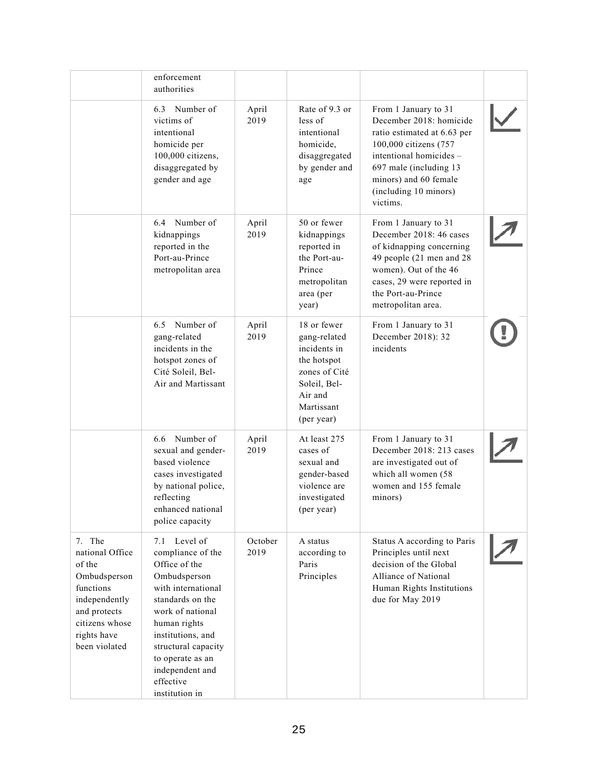|                                                                                                                                                     | enforcement<br>authorities                                                                                                                                                                                                                                            |                 |                                                                                                                                    |                                                                                                                                                                                                                             |  |
|-----------------------------------------------------------------------------------------------------------------------------------------------------|-----------------------------------------------------------------------------------------------------------------------------------------------------------------------------------------------------------------------------------------------------------------------|-----------------|------------------------------------------------------------------------------------------------------------------------------------|-----------------------------------------------------------------------------------------------------------------------------------------------------------------------------------------------------------------------------|--|
|                                                                                                                                                     | 6.3 Number of<br>victims of<br>intentional<br>homicide per<br>100,000 citizens,<br>disaggregated by<br>gender and age                                                                                                                                                 | April<br>2019   | Rate of 9.3 or<br>less of<br>intentional<br>homicide,<br>disaggregated<br>by gender and<br>age                                     | From 1 January to 31<br>December 2018: homicide<br>ratio estimated at 6.63 per<br>100,000 citizens (757<br>intentional homicides -<br>697 male (including 13)<br>minors) and 60 female<br>(including 10 minors)<br>victims. |  |
|                                                                                                                                                     | Number of<br>6.4<br>kidnappings<br>reported in the<br>Port-au-Prince<br>metropolitan area                                                                                                                                                                             | April<br>2019   | 50 or fewer<br>kidnappings<br>reported in<br>the Port-au-<br>Prince<br>metropolitan<br>area (per<br>year)                          | From 1 January to 31<br>December 2018: 46 cases<br>of kidnapping concerning<br>49 people (21 men and 28<br>women). Out of the 46<br>cases, 29 were reported in<br>the Port-au-Prince<br>metropolitan area.                  |  |
|                                                                                                                                                     | 6.5 Number of<br>gang-related<br>incidents in the<br>hotspot zones of<br>Cité Soleil, Bel-<br>Air and Martissant                                                                                                                                                      | April<br>2019   | 18 or fewer<br>gang-related<br>incidents in<br>the hotspot<br>zones of Cité<br>Soleil, Bel-<br>Air and<br>Martissant<br>(per year) | From 1 January to 31<br>December 2018): 32<br>incidents                                                                                                                                                                     |  |
|                                                                                                                                                     | 6.6 Number of<br>sexual and gender-<br>based violence<br>cases investigated<br>by national police,<br>reflecting<br>enhanced national<br>police capacity                                                                                                              | April<br>2019   | At least 275<br>cases of<br>sexual and<br>gender-based<br>violence are<br>investigated<br>(per year)                               | From 1 January to 31<br>December 2018: 213 cases<br>are investigated out of<br>which all women (58<br>women and 155 female<br>minors)                                                                                       |  |
| 7. The<br>national Office<br>of the<br>Ombudsperson<br>functions<br>independently<br>and protects<br>citizens whose<br>rights have<br>been violated | Level of<br>7.1<br>compliance of the<br>Office of the<br>Ombudsperson<br>with international<br>standards on the<br>work of national<br>human rights<br>institutions, and<br>structural capacity<br>to operate as an<br>independent and<br>effective<br>institution in | October<br>2019 | A status<br>according to<br>Paris<br>Principles                                                                                    | Status A according to Paris<br>Principles until next<br>decision of the Global<br>Alliance of National<br>Human Rights Institutions<br>due for May 2019                                                                     |  |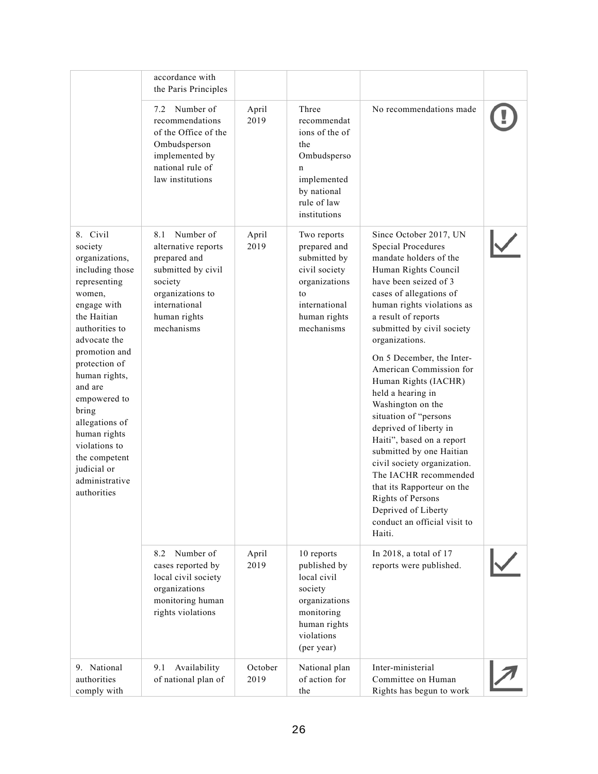|                                                                                                                                                                                                                                                                                                                                                               | accordance with<br>the Paris Principles                                                                                                                     |                 |                                                                                                                                    |                                                                                                                                                                                                                                                                                                                                                                                                                                                                                                                                                                                                                                                                                         |  |
|---------------------------------------------------------------------------------------------------------------------------------------------------------------------------------------------------------------------------------------------------------------------------------------------------------------------------------------------------------------|-------------------------------------------------------------------------------------------------------------------------------------------------------------|-----------------|------------------------------------------------------------------------------------------------------------------------------------|-----------------------------------------------------------------------------------------------------------------------------------------------------------------------------------------------------------------------------------------------------------------------------------------------------------------------------------------------------------------------------------------------------------------------------------------------------------------------------------------------------------------------------------------------------------------------------------------------------------------------------------------------------------------------------------------|--|
|                                                                                                                                                                                                                                                                                                                                                               | Number of<br>7.2<br>recommendations<br>of the Office of the<br>Ombudsperson<br>implemented by<br>national rule of<br>law institutions                       | April<br>2019   | Three<br>recommendat<br>ions of the of<br>the<br>Ombudsperso<br>n<br>implemented<br>by national<br>rule of law<br>institutions     | No recommendations made                                                                                                                                                                                                                                                                                                                                                                                                                                                                                                                                                                                                                                                                 |  |
| 8. Civil<br>society<br>organizations,<br>including those<br>representing<br>women,<br>engage with<br>the Haitian<br>authorities to<br>advocate the<br>promotion and<br>protection of<br>human rights,<br>and are<br>empowered to<br>bring<br>allegations of<br>human rights<br>violations to<br>the competent<br>judicial or<br>administrative<br>authorities | Number of<br>8.1<br>alternative reports<br>prepared and<br>submitted by civil<br>society<br>organizations to<br>international<br>human rights<br>mechanisms | April<br>2019   | Two reports<br>prepared and<br>submitted by<br>civil society<br>organizations<br>to<br>international<br>human rights<br>mechanisms | Since October 2017, UN<br><b>Special Procedures</b><br>mandate holders of the<br>Human Rights Council<br>have been seized of 3<br>cases of allegations of<br>human rights violations as<br>a result of reports<br>submitted by civil society<br>organizations.<br>On 5 December, the Inter-<br>American Commission for<br>Human Rights (IACHR)<br>held a hearing in<br>Washington on the<br>situation of "persons<br>deprived of liberty in<br>Haiti", based on a report<br>submitted by one Haitian<br>civil society organization.<br>The IACHR recommended<br>that its Rapporteur on the<br><b>Rights of Persons</b><br>Deprived of Liberty<br>conduct an official visit to<br>Haiti. |  |
|                                                                                                                                                                                                                                                                                                                                                               | Number of<br>8.2<br>cases reported by<br>local civil society<br>organizations<br>monitoring human<br>rights violations                                      | April<br>2019   | 10 reports<br>published by<br>local civil<br>society<br>organizations<br>monitoring<br>human rights<br>violations<br>(per year)    | In 2018, a total of 17<br>reports were published.                                                                                                                                                                                                                                                                                                                                                                                                                                                                                                                                                                                                                                       |  |
| 9. National<br>authorities<br>comply with                                                                                                                                                                                                                                                                                                                     | 9.1<br>Availability<br>of national plan of                                                                                                                  | October<br>2019 | National plan<br>of action for<br>the                                                                                              | Inter-ministerial<br>Committee on Human<br>Rights has begun to work                                                                                                                                                                                                                                                                                                                                                                                                                                                                                                                                                                                                                     |  |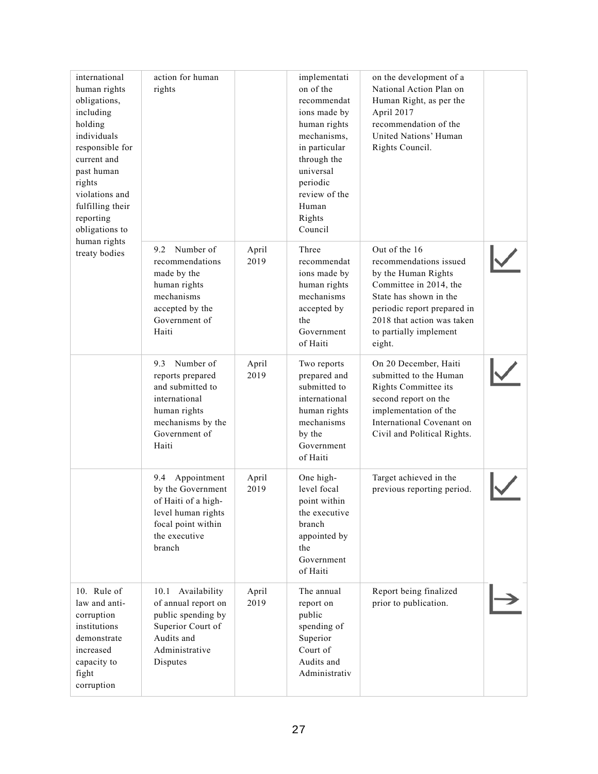| international<br>human rights<br>obligations,<br>including<br>holding<br>individuals<br>responsible for<br>current and<br>past human<br>rights<br>violations and<br>fulfilling their<br>reporting<br>obligations to<br>human rights<br>treaty bodies | action for human<br>rights                                                                                                               |               | implementati<br>on of the<br>recommendat<br>ions made by<br>human rights<br>mechanisms,<br>in particular<br>through the<br>universal<br>periodic<br>review of the<br>Human<br>Rights<br>Council | on the development of a<br>National Action Plan on<br>Human Right, as per the<br>April 2017<br>recommendation of the<br>United Nations' Human<br>Rights Council.                                                    |  |
|------------------------------------------------------------------------------------------------------------------------------------------------------------------------------------------------------------------------------------------------------|------------------------------------------------------------------------------------------------------------------------------------------|---------------|-------------------------------------------------------------------------------------------------------------------------------------------------------------------------------------------------|---------------------------------------------------------------------------------------------------------------------------------------------------------------------------------------------------------------------|--|
|                                                                                                                                                                                                                                                      | 9.2 Number of<br>recommendations<br>made by the<br>human rights<br>mechanisms<br>accepted by the<br>Government of<br>Haiti               | April<br>2019 | Three<br>recommendat<br>ions made by<br>human rights<br>mechanisms<br>accepted by<br>the<br>Government<br>of Haiti                                                                              | Out of the 16<br>recommendations issued<br>by the Human Rights<br>Committee in 2014, the<br>State has shown in the<br>periodic report prepared in<br>2018 that action was taken<br>to partially implement<br>eight. |  |
|                                                                                                                                                                                                                                                      | Number of<br>9.3<br>reports prepared<br>and submitted to<br>international<br>human rights<br>mechanisms by the<br>Government of<br>Haiti | April<br>2019 | Two reports<br>prepared and<br>submitted to<br>international<br>human rights<br>mechanisms<br>by the<br>Government<br>of Haiti                                                                  | On 20 December, Haiti<br>submitted to the Human<br>Rights Committee its<br>second report on the<br>implementation of the<br>International Covenant on<br>Civil and Political Rights.                                |  |
|                                                                                                                                                                                                                                                      | Appointment<br>9.4<br>by the Government<br>of Haiti of a high-<br>level human rights<br>focal point within<br>the executive<br>branch    | April<br>2019 | One high-<br>level focal<br>point within<br>the executive<br>branch<br>appointed by<br>the<br>Government<br>of Haiti                                                                            | Target achieved in the<br>previous reporting period.                                                                                                                                                                |  |
| 10. Rule of<br>law and anti-<br>corruption<br>institutions<br>demonstrate<br>increased<br>capacity to<br>fight<br>corruption                                                                                                                         | 10.1 Availability<br>of annual report on<br>public spending by<br>Superior Court of<br>Audits and<br>Administrative<br>Disputes          | April<br>2019 | The annual<br>report on<br>public<br>spending of<br>Superior<br>Court of<br>Audits and<br>Administrativ                                                                                         | Report being finalized<br>prior to publication.                                                                                                                                                                     |  |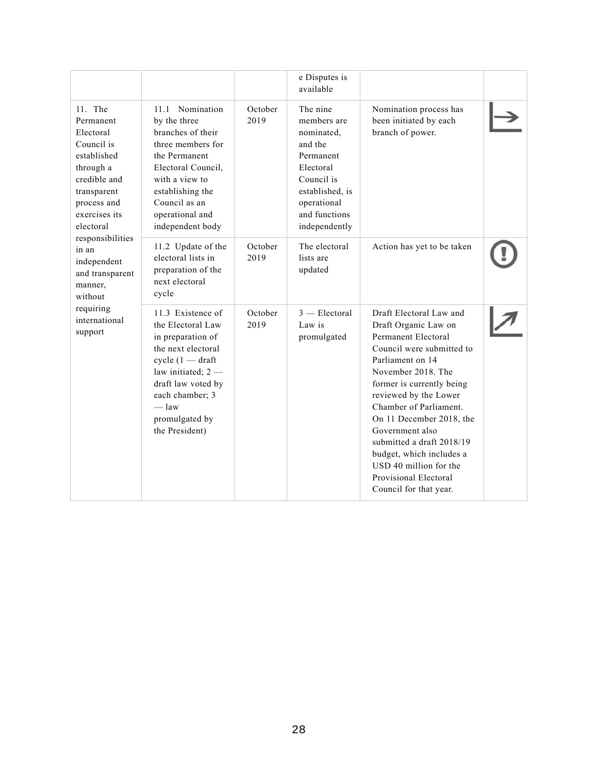|                                                                                                                                                                                                                                                                                       |                                                                                                                                                                                                                          |                 | e Disputes is<br>available                                                                                                                                   |                                                                                                                                                                                                                                                                                                                                                                                                                    |  |
|---------------------------------------------------------------------------------------------------------------------------------------------------------------------------------------------------------------------------------------------------------------------------------------|--------------------------------------------------------------------------------------------------------------------------------------------------------------------------------------------------------------------------|-----------------|--------------------------------------------------------------------------------------------------------------------------------------------------------------|--------------------------------------------------------------------------------------------------------------------------------------------------------------------------------------------------------------------------------------------------------------------------------------------------------------------------------------------------------------------------------------------------------------------|--|
| 11. The<br>Permanent<br>Electoral<br>Council is<br>established<br>through a<br>credible and<br>transparent<br>process and<br>exercises its<br>electoral<br>responsibilities<br>in an<br>independent<br>and transparent<br>manner,<br>without<br>requiring<br>international<br>support | 11.1 Nomination<br>by the three<br>branches of their<br>three members for<br>the Permanent<br>Electoral Council,<br>with a view to<br>establishing the<br>Council as an<br>operational and<br>independent body           | October<br>2019 | The nine<br>members are<br>nominated,<br>and the<br>Permanent<br>Electoral<br>Council is<br>established, is<br>operational<br>and functions<br>independently | Nomination process has<br>been initiated by each<br>branch of power.                                                                                                                                                                                                                                                                                                                                               |  |
|                                                                                                                                                                                                                                                                                       | 11.2 Update of the<br>electoral lists in<br>preparation of the<br>next electoral<br>cycle                                                                                                                                | October<br>2019 | The electoral<br>lists are<br>updated                                                                                                                        | Action has yet to be taken                                                                                                                                                                                                                                                                                                                                                                                         |  |
|                                                                                                                                                                                                                                                                                       | 11.3 Existence of<br>the Electoral Law<br>in preparation of<br>the next electoral<br>$cycle (1 - draft)$<br>law initiated; $2 -$<br>draft law voted by<br>each chamber; 3<br>$=$ law<br>promulgated by<br>the President) | October<br>2019 | $3$ — Electoral<br>Law is<br>promulgated                                                                                                                     | Draft Electoral Law and<br>Draft Organic Law on<br>Permanent Electoral<br>Council were submitted to<br>Parliament on 14<br>November 2018. The<br>former is currently being<br>reviewed by the Lower<br>Chamber of Parliament.<br>On 11 December 2018, the<br>Government also<br>submitted a draft 2018/19<br>budget, which includes a<br>USD 40 million for the<br>Provisional Electoral<br>Council for that year. |  |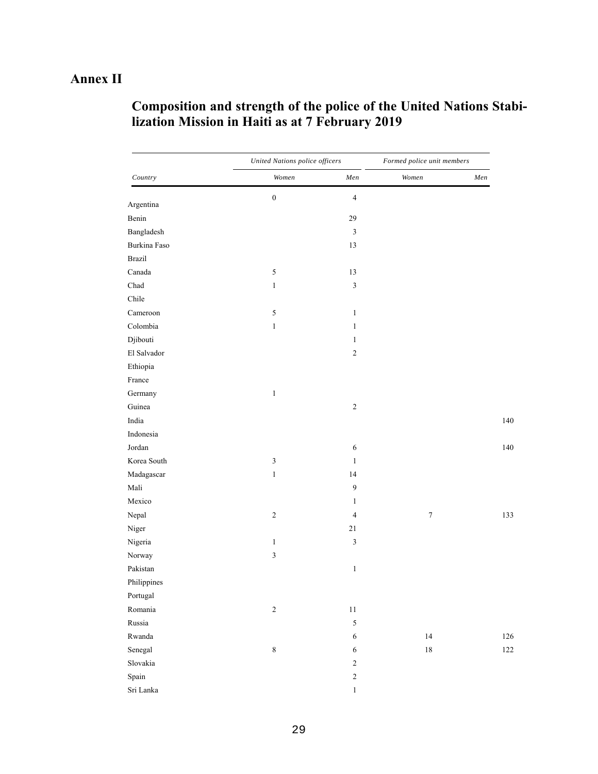# **Annex II**

| Composition and strength of the police of the United Nations Stabi- |
|---------------------------------------------------------------------|
| lization Mission in Haiti as at 7 February 2019                     |

|              | United Nations police officers |                  | Formed police unit members |         |
|--------------|--------------------------------|------------------|----------------------------|---------|
| Country      | Women                          | ${Men}$          | Women                      | ${Men}$ |
| Argentina    | $\boldsymbol{0}$               | $\overline{4}$   |                            |         |
| Benin        |                                | 29               |                            |         |
| Bangladesh   |                                | $\mathfrak{Z}$   |                            |         |
| Burkina Faso |                                | 13               |                            |         |
| Brazil       |                                |                  |                            |         |
| Canada       | 5                              | 13               |                            |         |
| Chad         | $\mathbf{1}$                   | $\mathfrak{Z}$   |                            |         |
| Chile        |                                |                  |                            |         |
| Cameroon     | 5                              | $\mathbf{1}$     |                            |         |
| Colombia     | $\,1$                          | $\mathbf{1}$     |                            |         |
| Djibouti     |                                | $\mathbf{1}$     |                            |         |
| El Salvador  |                                | $\sqrt{2}$       |                            |         |
| Ethiopia     |                                |                  |                            |         |
| France       |                                |                  |                            |         |
| Germany      | $\,1$                          |                  |                            |         |
| Guinea       |                                | $\sqrt{2}$       |                            |         |
| India        |                                |                  |                            |         |
| Indonesia    |                                |                  |                            |         |
| Jordan       |                                | 6                |                            |         |
| Korea South  | $\sqrt{3}$                     | $\mathbf{1}$     |                            |         |
| Madagascar   | $\mathbf{1}$                   | 14               |                            |         |
| Mali         |                                | $\boldsymbol{9}$ |                            |         |
| Mexico       |                                | $\mathbf{1}$     |                            |         |
| Nepal        | $\sqrt{2}$                     | $\overline{4}$   | $\boldsymbol{7}$           |         |
| Niger        |                                | 21               |                            |         |
| Nigeria      | $\mathbf{1}$                   | $\mathfrak z$    |                            |         |
| Norway       | $\mathfrak{Z}$                 |                  |                            |         |
| Pakistan     |                                | $\mathbf{1}$     |                            |         |
| Philippines  |                                |                  |                            |         |
| Portugal     |                                |                  |                            |         |
| Romania      | $\overline{c}$                 | 11               |                            |         |
| Russia       |                                | $\sqrt{5}$       |                            |         |
| Rwanda       |                                | $\sqrt{6}$       | $14\,$                     |         |
| Senegal      | $\,$ $\,$                      | 6                | $18\,$                     |         |
| Slovakia     |                                | $\sqrt{2}$       |                            |         |
| Spain        |                                | $\sqrt{2}$       |                            |         |
| Sri Lanka    |                                | $\,1$            |                            |         |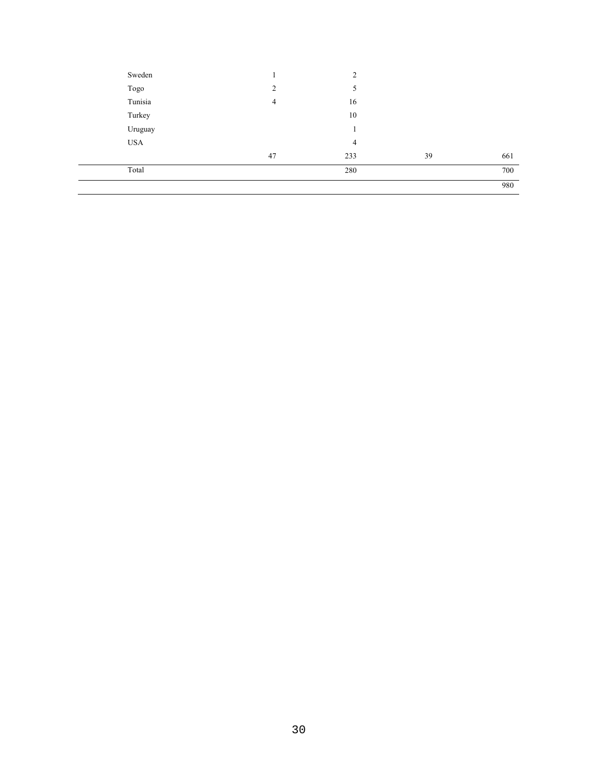| Sweden     |                | 2      |    |     |
|------------|----------------|--------|----|-----|
| Togo       | $\overline{2}$ | 5      |    |     |
| Tunisia    | 4              | 16     |    |     |
| Turkey     |                | 10     |    |     |
| Uruguay    |                | 1<br>1 |    |     |
| <b>USA</b> |                | 4      |    |     |
|            | 47             | 233    | 39 | 661 |
| Total      |                | 280    |    | 700 |
|            |                |        |    | 980 |
|            |                |        |    |     |